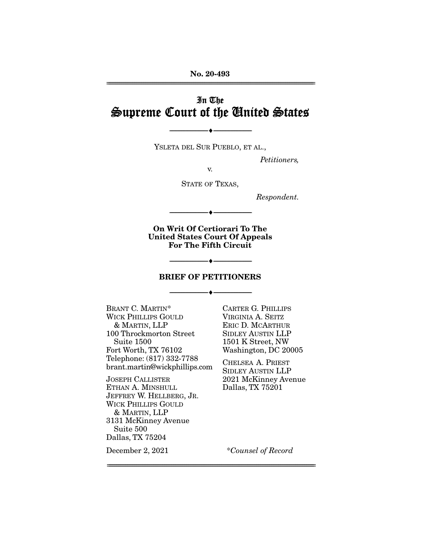## In The Supreme Court of the United States

YSLETA DEL SUR PUEBLO, ET AL.,

 $\overbrace{\hspace{27mm}}$   $\overbrace{\hspace{27mm}}$ 

Petitioners,

 $V<sub>r</sub>$ 

STATE OF TEXAS,

Respondent.

**On Writ Of Certiorari To The United States Court Of Appeals For The Fifth Circuit** 

--------------------------------- ♦ ---------------------------------

 $\overbrace{\hspace{27mm}}$   $\overbrace{\hspace{27mm}}$ 

#### **BRIEF OF PETITIONERS**

 $\overbrace{\hspace{27mm}}$   $\overbrace{\hspace{27mm}}$ 

BRANT C. MARTIN<sup>\*</sup><br>WICK PHILLIPS GOULD & MARTIN, LLP 100 Throckmorton Street Suite 1500 Fort Worth, TX 76102 Telephone: (817) 332-7788 Telephone: (817) 332-7788 brant.martin@wickphillips.com

JOSEPH CALLISTER JEFFREY W. HELLBERG, JR. **WICK PHILLIPS GOULD** & MARTIN, LLP 3131 McKinney Avenue Suite 500 Dallas, TX 75204

December 2, 2021

CARTER G. PHILLIPS ERIC D. MCARTHUR SIDLEY AUSTIN LLP 1501 K Street, NW Washington, DC 20005

CHELSEA A. PRIEST SIDLEY AUSTIN LLP 2021 McKinney Avenue 2022 McChinney Avenue<br>Dallas TX 75201 <u>2</u> married, 2021 contractor

\*Counsel of Record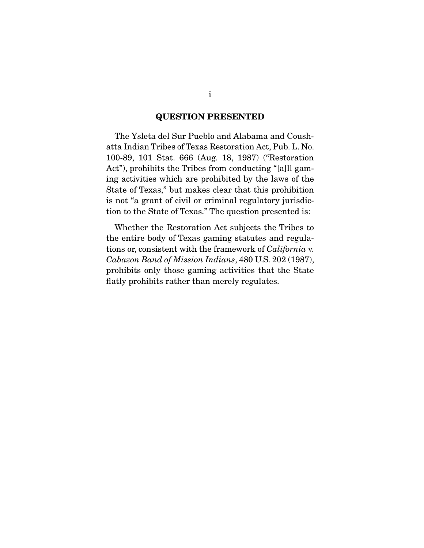#### **QUESTION PRESENTED**

 The Ysleta del Sur Pueblo and Alabama and Coush-100-89, 101 Stat. 666 (Aug. 18, 1987) ("Restoration Act"), prohibits the Tribes from conducting "[a]ll gaming activities which are prohibited by the laws of the State of Texas," but makes clear that this prohibition is not "a grant of civil or criminal regulatory jurisdic- $\frac{1}{2}$  is not  $\frac{1}{2}$  and  $\frac{1}{2}$  or contained regulation proported is: tion to the State of Texas. The state of  $\mathbf{r}_1$  and  $\mathbf{r}_2$  is the state is:

Whether the Restoration Act subjects the Tribes to the entire body of Texas gaming statutes and regulations or, consistent with the framework of *California* v.<br>Cabazon Band of Mission Indiana 480 U.S. 202 (1987). *Cabazon Band of Mission Indians*, 480 U.S. 202 (1987),  $\frac{1}{2}$  for  $\frac{1}{2}$  the  $\frac{1}{2}$  game for  $\frac{1}{2}$  the State that the State that the State that the State that the State the State that the State the State that the State theory flatly problems in the than merely regulates.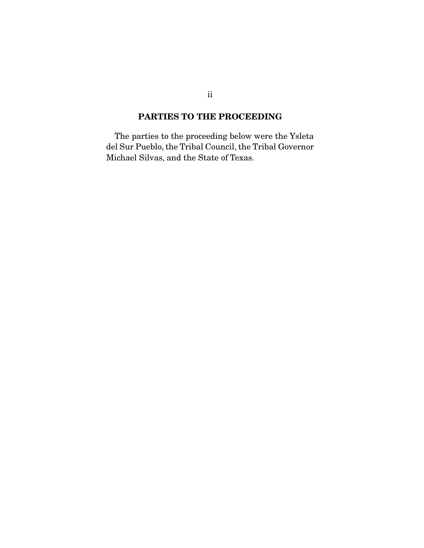### **PARTIES TO THE PROCEEDING**

 The parties to the proceeding below were the Ysleta  $\frac{d}{dt}$  Survey and the State of Texas Michael Silvas, and the State of Texas.

ii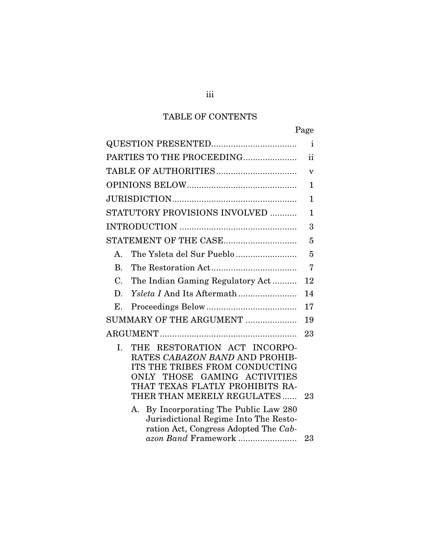## TABLE OF CONTENTS

|                                                                                                                                                                                                                                                                                                                                                                     | Page         |
|---------------------------------------------------------------------------------------------------------------------------------------------------------------------------------------------------------------------------------------------------------------------------------------------------------------------------------------------------------------------|--------------|
|                                                                                                                                                                                                                                                                                                                                                                     | $\mathbf{i}$ |
| PARTIES TO THE PROCEEDING                                                                                                                                                                                                                                                                                                                                           | ii           |
|                                                                                                                                                                                                                                                                                                                                                                     | v            |
|                                                                                                                                                                                                                                                                                                                                                                     | 1            |
|                                                                                                                                                                                                                                                                                                                                                                     | 1            |
| STATUTORY PROVISIONS INVOLVED                                                                                                                                                                                                                                                                                                                                       | 1            |
|                                                                                                                                                                                                                                                                                                                                                                     | 3            |
|                                                                                                                                                                                                                                                                                                                                                                     | 5            |
| The Ysleta del Sur Pueblo<br>A.                                                                                                                                                                                                                                                                                                                                     | 5            |
| $\mathbf{B}$ .                                                                                                                                                                                                                                                                                                                                                      | 7            |
| $\mathcal{C}$ .<br>The Indian Gaming Regulatory Act                                                                                                                                                                                                                                                                                                                 | 12           |
| D.                                                                                                                                                                                                                                                                                                                                                                  | 14           |
| Ε.                                                                                                                                                                                                                                                                                                                                                                  | 17           |
| SUMMARY OF THE ARGUMENT                                                                                                                                                                                                                                                                                                                                             | 19           |
|                                                                                                                                                                                                                                                                                                                                                                     | 23           |
| RESTORATION ACT INCORPO-<br>I.<br>THE<br>RATES CABAZON BAND AND PROHIB-<br>ITS THE TRIBES FROM CONDUCTING<br>THOSE GAMING ACTIVITIES<br>ONLY<br>THAT TEXAS FLATLY PROHIBITS RA-<br>THER THAN MERELY REGULATES<br>By Incorporating The Public Law 280<br>A.<br>Jurisdictional Regime Into The Resto-<br>ration Act, Congress Adopted The Cab-<br>azon Band Framework | 23<br>23     |
|                                                                                                                                                                                                                                                                                                                                                                     |              |

iii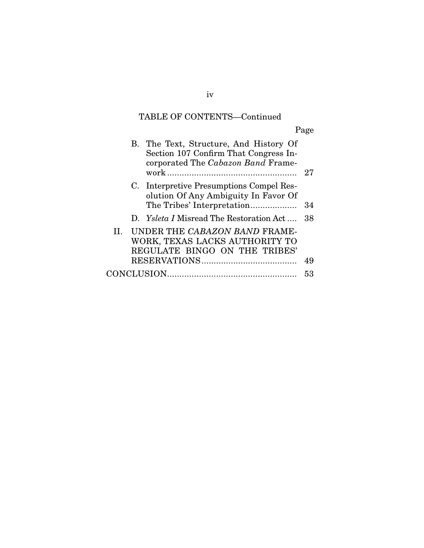## TABLE OF CONTENTS—Continued

Page

|    | B. The Text, Structure, And History Of<br>Section 107 Confirm That Congress In-<br>corporated The Cabazon Band Frame- | 27 |
|----|-----------------------------------------------------------------------------------------------------------------------|----|
|    | C. Interpretive Presumptions Compel Res-                                                                              |    |
|    | olution Of Any Ambiguity In Favor Of                                                                                  |    |
|    |                                                                                                                       | 34 |
|    | D. Ysleta I Misread The Restoration Act                                                                               | 38 |
| H. | UNDER THE CABAZON BAND FRAME-                                                                                         |    |
|    | WORK, TEXAS LACKS AUTHORITY TO                                                                                        |    |
|    | REGULATE BINGO ON THE TRIBES'                                                                                         |    |
|    |                                                                                                                       | 49 |
|    |                                                                                                                       | 53 |
|    |                                                                                                                       |    |

iv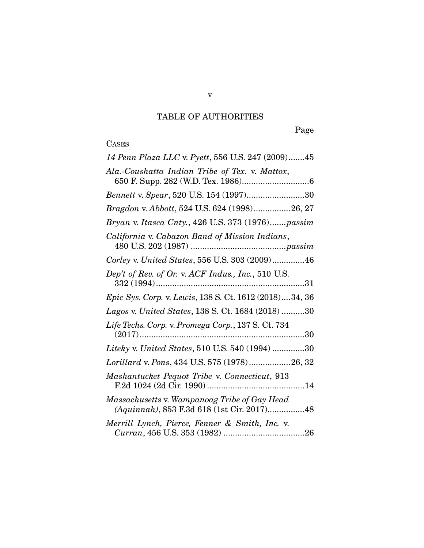## TABLE OF AUTHORITIES

Page

# CASES<br>14 P

| 14 Penn Plaza LLC v. Pyett, 556 U.S. 247 (2009)45<br>Ala.-Coushatta Indian Tribe of Tex. v. Mattox,<br>Bennett v. Spear, 520 U.S. 154 (1997)30<br>Bragdon v. Abbott, 524 U.S. 624 (1998)26, 27<br>Bryan v. Itasca Cnty., 426 U.S. 373 (1976)passim<br>California v. Cabazon Band of Mission Indians,<br>Corley v. United States, 556 U.S. 303 (2009)46<br>Dep't of Rev. of Or. v. ACF Indus., Inc., 510 U.S.<br>Epic Sys. Corp. v. Lewis, 138 S. Ct. 1612 (2018)34, 36<br>Lagos v. United States, 138 S. Ct. 1684 (2018) 30<br>Life Techs. Corp. v. Promega Corp., 137 S. Ct. 734<br>Liteky v. United States, 510 U.S. 540 (1994) 30<br>Lorillard v. Pons, 434 U.S. 575 (1978)26, 32<br>Mashantucket Pequot Tribe v. Connecticut, 913<br>Massachusetts v. Wampanoag Tribe of Gay Head<br>(Aquinnah), 853 F.3d 618 (1st Cir. 2017)48<br>Merrill Lynch, Pierce, Fenner & Smith, Inc. v. |  |
|---------------------------------------------------------------------------------------------------------------------------------------------------------------------------------------------------------------------------------------------------------------------------------------------------------------------------------------------------------------------------------------------------------------------------------------------------------------------------------------------------------------------------------------------------------------------------------------------------------------------------------------------------------------------------------------------------------------------------------------------------------------------------------------------------------------------------------------------------------------------------------------|--|
|                                                                                                                                                                                                                                                                                                                                                                                                                                                                                                                                                                                                                                                                                                                                                                                                                                                                                       |  |
|                                                                                                                                                                                                                                                                                                                                                                                                                                                                                                                                                                                                                                                                                                                                                                                                                                                                                       |  |
|                                                                                                                                                                                                                                                                                                                                                                                                                                                                                                                                                                                                                                                                                                                                                                                                                                                                                       |  |
|                                                                                                                                                                                                                                                                                                                                                                                                                                                                                                                                                                                                                                                                                                                                                                                                                                                                                       |  |
|                                                                                                                                                                                                                                                                                                                                                                                                                                                                                                                                                                                                                                                                                                                                                                                                                                                                                       |  |
|                                                                                                                                                                                                                                                                                                                                                                                                                                                                                                                                                                                                                                                                                                                                                                                                                                                                                       |  |
|                                                                                                                                                                                                                                                                                                                                                                                                                                                                                                                                                                                                                                                                                                                                                                                                                                                                                       |  |
|                                                                                                                                                                                                                                                                                                                                                                                                                                                                                                                                                                                                                                                                                                                                                                                                                                                                                       |  |
|                                                                                                                                                                                                                                                                                                                                                                                                                                                                                                                                                                                                                                                                                                                                                                                                                                                                                       |  |
|                                                                                                                                                                                                                                                                                                                                                                                                                                                                                                                                                                                                                                                                                                                                                                                                                                                                                       |  |
|                                                                                                                                                                                                                                                                                                                                                                                                                                                                                                                                                                                                                                                                                                                                                                                                                                                                                       |  |
|                                                                                                                                                                                                                                                                                                                                                                                                                                                                                                                                                                                                                                                                                                                                                                                                                                                                                       |  |
|                                                                                                                                                                                                                                                                                                                                                                                                                                                                                                                                                                                                                                                                                                                                                                                                                                                                                       |  |
|                                                                                                                                                                                                                                                                                                                                                                                                                                                                                                                                                                                                                                                                                                                                                                                                                                                                                       |  |
|                                                                                                                                                                                                                                                                                                                                                                                                                                                                                                                                                                                                                                                                                                                                                                                                                                                                                       |  |
|                                                                                                                                                                                                                                                                                                                                                                                                                                                                                                                                                                                                                                                                                                                                                                                                                                                                                       |  |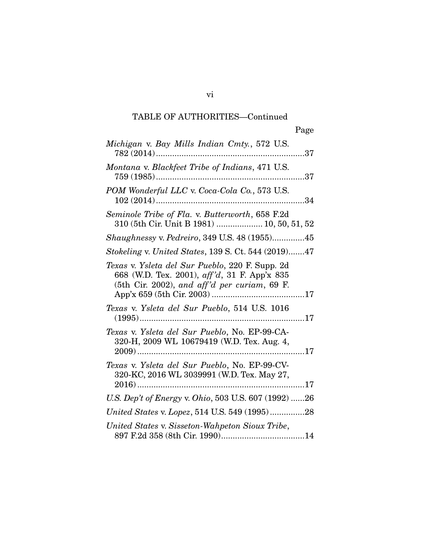vi

| Michigan v. Bay Mills Indian Cmty., 572 U.S.                                                                                                    |
|-------------------------------------------------------------------------------------------------------------------------------------------------|
| Montana v. Blackfeet Tribe of Indians, 471 U.S.                                                                                                 |
| POM Wonderful LLC v. Coca-Cola Co., 573 U.S.<br>$102(2014)$<br>34                                                                               |
| Seminole Tribe of Fla. v. Butterworth, 658 F.2d<br>310 (5th Cir. Unit B 1981)  10, 50, 51, 52                                                   |
| Shaughnessy v. Pedreiro, 349 U.S. 48 (1955)45                                                                                                   |
| Stokeling v. United States, 139 S. Ct. 544 (2019)47                                                                                             |
| Texas v. Ysleta del Sur Pueblo, 220 F. Supp. 2d<br>668 (W.D. Tex. 2001), aff'd, 31 F. App'x 835<br>(5th Cir. 2002), and aff'd per curiam, 69 F. |
| Texas v. Ysleta del Sur Pueblo, 514 U.S. 1016                                                                                                   |
| Texas v. Ysleta del Sur Pueblo, No. EP-99-CA-<br>320-H, 2009 WL 10679419 (W.D. Tex. Aug. 4,                                                     |
| Texas v. Ysleta del Sur Pueblo, No. EP-99-CV-<br>320-KC, 2016 WL 3039991 (W.D. Tex. May 27,<br>. 17                                             |
| U.S. Dep't of Energy v. Ohio, 503 U.S. 607 (1992) 26                                                                                            |
| United States v. Lopez, 514 U.S. 549 (1995)28                                                                                                   |
| United States v. Sisseton-Wahpeton Sioux Tribe,<br>897 F 2d 358 (8th Cir 1990) 397 F 2d 358<br>14                                               |

897 F.2d 358 (8th Cir. 1990) .................................... 14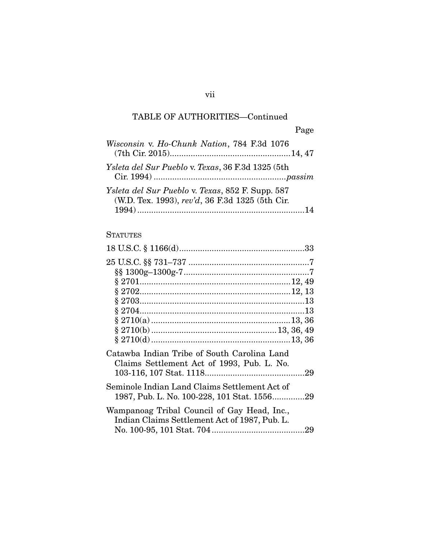| Wisconsin v. Ho-Chunk Nation, 784 F.3d 1076                                                         |
|-----------------------------------------------------------------------------------------------------|
| Ysleta del Sur Pueblo v. Texas, 36 F.3d 1325 (5th                                                   |
| Ysleta del Sur Pueblo v. Texas, 852 F. Supp. 587<br>(W.D. Tex. 1993), rev'd, 36 F.3d 1325 (5th Cir. |

## **STATUTES**

| Catawba Indian Tribe of South Carolina Land<br>Claims Settlement Act of 1993, Pub. L. No.    |  |
|----------------------------------------------------------------------------------------------|--|
|                                                                                              |  |
| Seminole Indian Land Claims Settlement Act of<br>1987, Pub. L. No. 100-228, 101 Stat. 155629 |  |
| Wampanoag Tribal Council of Gay Head, Inc.,<br>Indian Claims Settlement Act of 1987, Pub. L. |  |

vii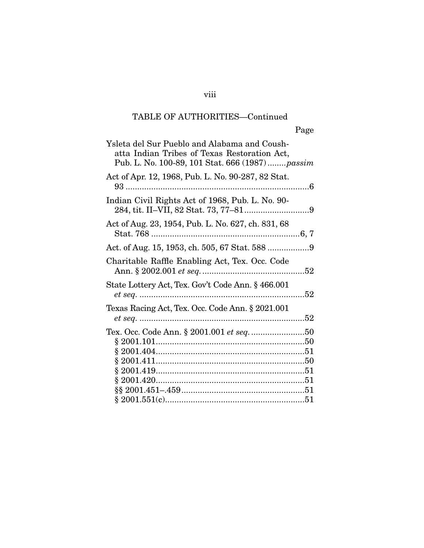| Ysleta del Sur Pueblo and Alabama and Coush-<br>atta Indian Tribes of Texas Restoration Act,<br>Pub. L. No. 100-89, 101 Stat. 666 (1987) passim |    |
|-------------------------------------------------------------------------------------------------------------------------------------------------|----|
| Act of Apr. 12, 1968, Pub. L. No. 90-287, 82 Stat.                                                                                              |    |
| Indian Civil Rights Act of 1968, Pub. L. No. 90-                                                                                                |    |
| Act of Aug. 23, 1954, Pub. L. No. 627, ch. 831, 68                                                                                              |    |
|                                                                                                                                                 |    |
| Charitable Raffle Enabling Act, Tex. Occ. Code                                                                                                  |    |
| State Lottery Act, Tex. Gov't Code Ann. § 466.001                                                                                               |    |
| Texas Racing Act, Tex. Occ. Code Ann. § 2021.001                                                                                                |    |
| Tex. Occ. Code Ann. § 2001.001 <i>et seq. </i> 50                                                                                               |    |
|                                                                                                                                                 |    |
| 8.2001.551(c)                                                                                                                                   | 51 |

§ 2001.551(c) ............................................................ 51

viii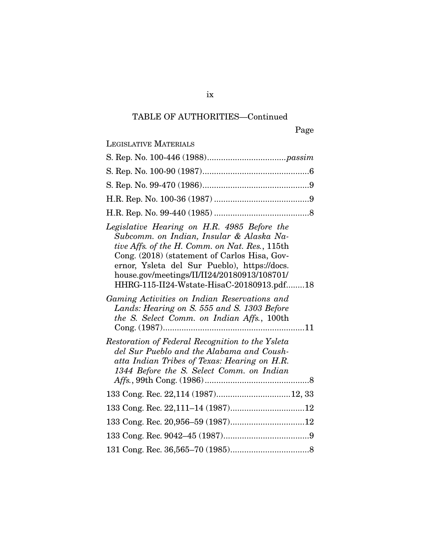| <b>LEGISLATIVE MATERIALS</b>                                                                                                                                                                                                                                                                                                          |
|---------------------------------------------------------------------------------------------------------------------------------------------------------------------------------------------------------------------------------------------------------------------------------------------------------------------------------------|
|                                                                                                                                                                                                                                                                                                                                       |
|                                                                                                                                                                                                                                                                                                                                       |
|                                                                                                                                                                                                                                                                                                                                       |
|                                                                                                                                                                                                                                                                                                                                       |
|                                                                                                                                                                                                                                                                                                                                       |
| Legislative Hearing on H.R. 4985 Before the<br>Subcomm. on Indian, Insular & Alaska Na-<br>tive Affs. of the H. Comm. on Nat. Res., 115th<br>Cong. (2018) (statement of Carlos Hisa, Gov-<br>ernor, Ysleta del Sur Pueblo), https://docs.<br>house.gov/meetings/II/II24/20180913/108701/<br>HHRG-115-II24-Wstate-HisaC-20180913.pdf18 |
| Gaming Activities on Indian Reservations and<br>Lands: Hearing on S. 555 and S. 1303 Before<br>the S. Select Comm. on Indian Affs., 100th                                                                                                                                                                                             |
| Restoration of Federal Recognition to the Ysleta<br>del Sur Pueblo and the Alabama and Coush-<br>atta Indian Tribes of Texas: Hearing on H.R.<br>1344 Before the S. Select Comm. on Indian                                                                                                                                            |
|                                                                                                                                                                                                                                                                                                                                       |
|                                                                                                                                                                                                                                                                                                                                       |
|                                                                                                                                                                                                                                                                                                                                       |
|                                                                                                                                                                                                                                                                                                                                       |
|                                                                                                                                                                                                                                                                                                                                       |

ix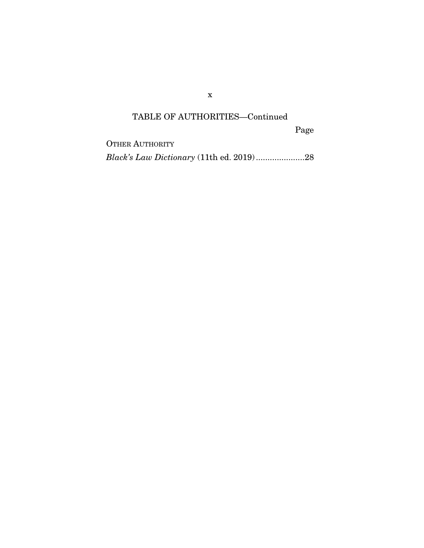x

## TABLE OF AUTHORITIES—Continued

Page

OTHER AUTHORITY *Black's Law Dictionary* (11th ed. 2019) ..................... 28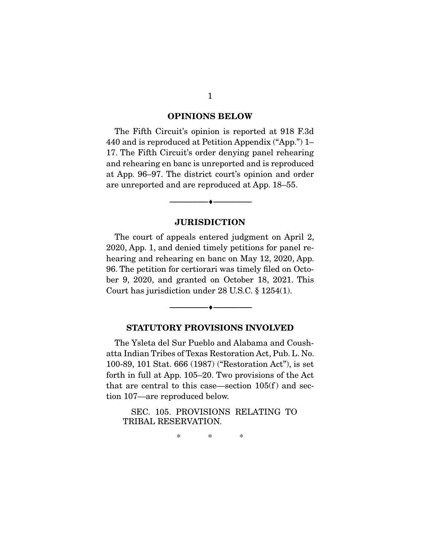#### **OPINIONS BELOW**

The Fifth Circuit's opinion is reported at 918 F.3d<br>440 and is reproduced at Petition Appendix ("App.") 1– 17. The Fifth Circuit's order denying panel rehearing. and rehearing en banc is unreported and is reproduced at App. 96–97. The district court's opinion and order  $\frac{1}{2}$  are unrepeated and are reproduced at App. 18.55 are unreported and are reproduced at App. 18–55.

#### **JURISDICTION**

 $\overbrace{\hspace{2.5cm}}$   $\overbrace{\hspace{2.5cm}}$ 

The court of appeals entered judgment on April 2,<br>2020, App. 1, and denied timely petitions for panel rehearing and rehearing en banc on May 12, 2020, App. 96. The petition for certiorari was timely filed on October 9, 2020, and granted on October 18, 2021. This  $\sum_{i=1}^{n}$   $\sum_{i=1}^{n}$   $\sum_{i=1}^{n}$   $\sum_{i=1}^{n}$   $\sum_{i=1}^{n}$   $\sum_{i=1}^{n}$   $\sum_{i=1}^{n}$   $\sum_{i=1}^{n}$   $\sum_{i=1}^{n}$   $\sum_{i=1}^{n}$   $\sum_{i=1}^{n}$   $\sum_{i=1}^{n}$   $\sum_{i=1}^{n}$   $\sum_{i=1}^{n}$   $\sum_{i=1}^{n}$   $\sum_{i=1}^{n}$   $\sum_{i=1}^{n}$   $\sum_{i=1}^{n}$  is the  $\sum_{i=1}^{n}$  under 28 U.S.C.  $\sum_{i=1}^{n}$ .

#### **STATUTORY PROVISIONS INVOLVED**

 $\overbrace{\hspace{2.5cm}}$   $\overbrace{\hspace{2.5cm}}$ 

The Ysleta del Sur Pueblo and Alabama and Coush-100-89, 101 Stat. 666 (1987) ("Restoration Act"), is set forth in full at App.  $105-20$ . Two provisions of the Act that are central to this case—section  $105(f)$  and sec- $\frac{107}{\pi}$  are reproduced below tion 107—are reproduced below.

TRIBAL RESERVATION. TRIBAL RESERVATION.

> $\ast$  $\ast$

 $\ast$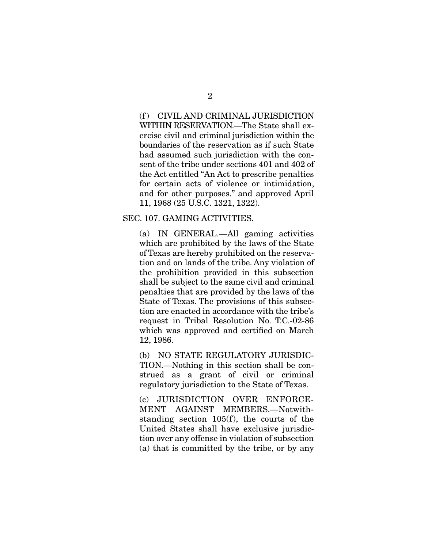(f) CIVIL AND CRIMINAL JURISDICTION<br>WITHIN RESERVATION.—The State shall exercise civil and criminal jurisdiction within the boundaries of the reservation as if such State had assumed such jurisdiction with the consent of the tribe under sections 401 and 402 of the Act entitled "An Act to prescribe penalties" for certain acts of violence or intimidation, and for other purposes." and approved April 11, 1968 (25 U.S.C. 1321, 1322). 11, 1968 (25 U.S.C. 1321, 1322).

## SEC. 107. GAMING ACTIVITIES.

(a) IN GENERAL.—All gaming activities of Texas are hereby prohibited on the reservation and on lands of the tribe. Any violation of the prohibition provided in this subsection shall be subject to the same civil and criminal penalties that are provided by the laws of the State of Texas. The provisions of this subsection are enacted in accordance with the tribe's request in Tribal Resolution No. T.C.-02-86 which was approved and certified on March. 12, 1986. 12, 1986.<br>12

TION.—Nothing in this section shall be construed as a grant of civil or criminal  $\frac{1}{2}$  regulatory invisdiction to the State of Texas regulatory jurisdiction to the State of Texas.

(c) JURISDICTION OVER ENFORCE-<br>MENT AGAINST MEMBERS.—Notwithstanding section  $105(f)$ , the courts of the United States shall have exclusive jurisdiction over any offense in violation of subsection  $\sum_{i=1}^{n}$  that is committed by the tribe or by any (a) that is committed by the tribe, or by any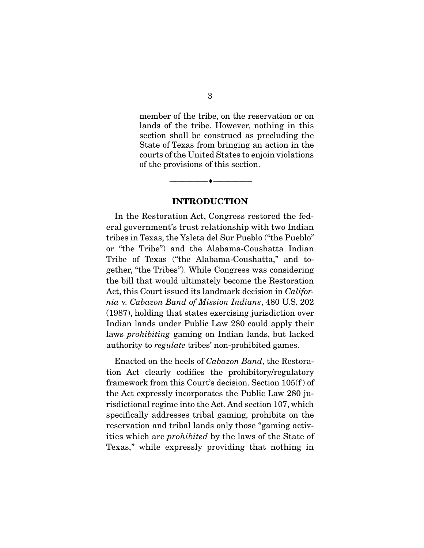member of the tribe, on the reservation or on<br>lands of the tribe. However, nothing in this section shall be construed as precluding the State of Texas from bringing an action in the courts of the United States to enjoin violations of the provisions of this section. of the provisions of this section.

#### **INTRODUCTION**

 $\overbrace{\hspace{2.5cm}}$   $\overbrace{\hspace{2.5cm}}$ 

In the Restoration Act, Congress restored the federal government's trust relationship with two Indian tribes in Texas, the Ysleta del Sur Pueblo ("the Pueblo" or "the Tribe") and the Alabama-Coushatta Indian Tribe of Texas ("the Alabama-Coushatta," and together, "the Tribes"). While Congress was considering the bill that would ultimately become the Restoration Act, this Court issued its landmark decision in *Califor-*<br>
No V Cabazon Band of Mission Indians, 480 U.S. 202 *nia* v. *Cabazon Band of Mission Indians*, 480 U.S. 202 Indian lands under Public Law 280 could apply their laws *prohibiting* gaming on Indian lands, but lacked authority to *regulate* tribes' non-prohibited games.

Enacted on the heels of *Cabazon Band*, the Restora-<br>tion Act clearly codifies the prohibitory/regulatory framework from this Court's decision. Section  $105(f)$  of the Act expressly incorporates the Public Law 280 ju $r_{\text{isdictional regime into the Act. And section 107, which}$ specifically addresses tribal gaming, prohibits on the reservation and tribal lands only those "gaming activities which are *prohibited* by the laws of the State of Texas," while expressly providing that nothing in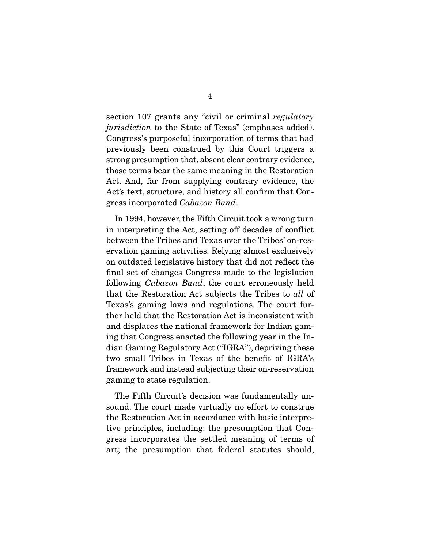section 107 grants any "civil or criminal *regulatory jurisdiction* to the State of Texas" (emphases added).<br>Congress's purposeful incorporation of terms that had previously been construed by this Court triggers a strong presumption that, absent clear contrary evidence, those terms bear the same meaning in the Restoration Act. And, far from supplying contrary evidence, the Act's text, structure, and history all confirm that Congress incorporated *Cabazon Band*.

In 1994, however, the Fifth Circuit took a wrong turn<br>in interpreting the Act, setting off decades of conflict between the Tribes and Texas over the Tribes' on-reservation gaming activities. Relying almost exclusively on outdated legislative history that did not reflect the final set of changes Congress made to the legislation following *Cabazon Band*, the court erroneously held<br>that the Besteration Act subjects the Tribes to all of that the Restoration Act subjects the Tribes to *all* of ther held that the Restoration Act is inconsistent with and displaces the national framework for Indian gaming that Congress enacted the following year in the Indian Gaming Regulatory Act ("IGRA"), depriving these two small Tribes in Texas of the benefit of IGRA's framework and instead subjecting their on-reservation framework and instead subjecting their on-reservation  $\mathbf{g}$  and  $\mathbf{g}$  to state regulation.

The Fifth Circuit's decision was fundamentally unsound. The court made virtually no effort to construe the Restoration Act in accordance with basic interpretive principles, including: the presumption that Congress incorporates the settled meaning of terms of art; the presumption that federal statutes should, art; the presumption that federal statutes should,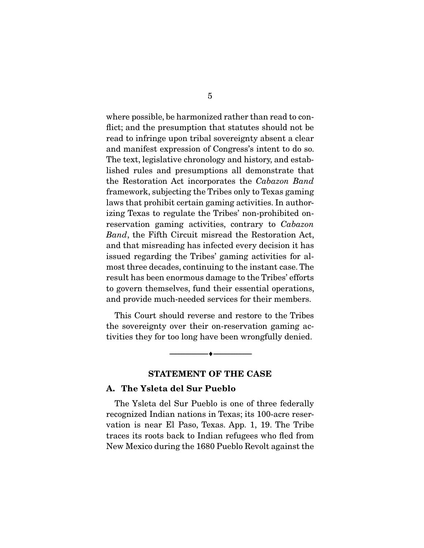where possible, be harmonized rather than read to conflict; and the presumption that statutes should not be read to infringe upon tribal sovereignty absent a clear and manifest expression of Congress's intent to do so. The text, legislative chronology and history, and established rules and presumptions all demonstrate that lished rules and presumptions all demonstrate that the Restoration Act incorporates the *Cabazon Band*  framework, subjecting the Tribes only to Texas gaming izing Texas to regulate the Tribes' non-prohibited onreservation gaming activities, contrary to *Cabazon*<br>Band, the Fifth Circuit misroed the Besterstien Act *Band*, the Fifth Circuit misread the Restoration Act, and that misreading has infected every decision it has issued regarding the Tribes' gaming activities for almost three decades, continuing to the instant case. The result has been enormous damage to the Tribes' efforts to govern themselves, fund their essential operations, and provide much-needed services for their members. and provide much-needed services for their members.

This Court should reverse and restore to the Tribes<br>the sovereignty over their on-reservation gaming activities they for too long have been wrongfully denied.  $\frac{1}{2}$  the too long have been wrongfully denied been wrongfully deniade.

#### **STATEMENT OF THE CASE**

 $\overbrace{\hspace{2.5cm}}$   $\overbrace{\hspace{2.5cm}}$ 

#### **A. The Ysleta del Sur Pueblo**

The Ysleta del Sur Pueblo is one of three federally<br>recognized Indian nations in Texas; its 100-acre reservation is near El Paso, Texas. App. 1, 19. The Tribe traces its roots back to Indian refugees who fled from. New Mexico during the 1680 Pueblo Revolt against the New Mexico during the 1680 Pueblo Revolt and 1680 Pueblo Revolt and 1680 Pueblo Revolution of the 1680 Pueblo Revolution of the 1680 Pueblo Revolution of the 1680 Pueblo Revolution of the 1680 Pueblo Revolution of the 1680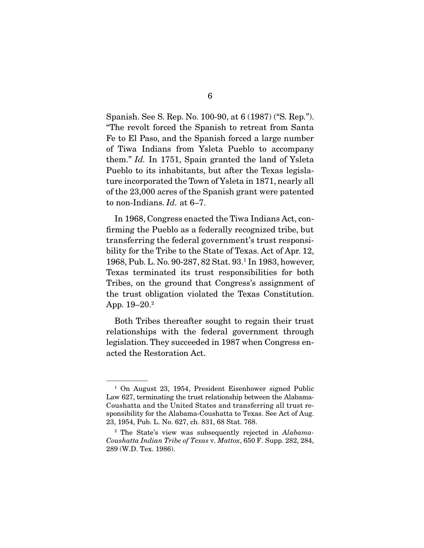Spanish. See S. Rep. No. 100-90, at 6 (1987) ("S. Rep."). "The revolt forced the Spanish to retreat from Santa Fe to El Paso, and the Spanish forced a large number of Tiwa Indians from Ysleta Pueblo to accompany them."  $Id$ . In 1751, Spain granted the land of Ysleta Pueblo to its inheritants but ofter the Toyes legisle Pueblo to its inhabitants, but after the Texas legisla-<br>ture incorporated the Town of Ysleta in 1871, nearly all of the 23,000 acres of the Spanish grant were patented to non-Indians.  $Id.$  at  $6-7.$ 

 In 1968, Congress enacted the Tiwa Indians Act, contransferring the federal government's trust responsibility for the Tribe to the State of Texas. Act of Apr. 12, 1968, Pub. L. No. 90-287, 82 Stat. 93.<sup>1</sup> In 1983, however,  $1300, F$  ub. L. No.  $30-201, 02$  Stat. 33. In 1303, nowever,<br>Toyog torminated its trust reaponsibilities for both Tribes, on the ground that Congress's assignment of the trust obligation violated the Texas Constitution. the trust obligation violated the Texas Constitution. App. 19–20.<sup>2</sup>

 Both Tribes thereafter sought to regain their trust legislation. They succeeded in 1987 when Congress enacted the Restoration Act. acted the Restoration Act.

<sup>&</sup>lt;sup>1</sup> On August 23, 1954, President Eisenhower signed Public Law 627, terminating the trust relationship between the Alabama-Coushatta and the United States and transferring all trust responsibility for the Alabama-Coushatta to Texas. See Act of Aug. 23, 1954, Pub. L. No. 627, ch. 831, 68 Stat. 768.

<sup>&</sup>lt;sup>2</sup> The State's view was subsequently rejected in *Alabama-*<br>Coushatta Indian Tribe of Texas v. Mattor 650 F. Supp. 282, 284. *Coushatta Indian Tribe of Texas* v. *Mattox*, 650 F. Supp. 282, 284, 289 (W.D. Tex. 1986).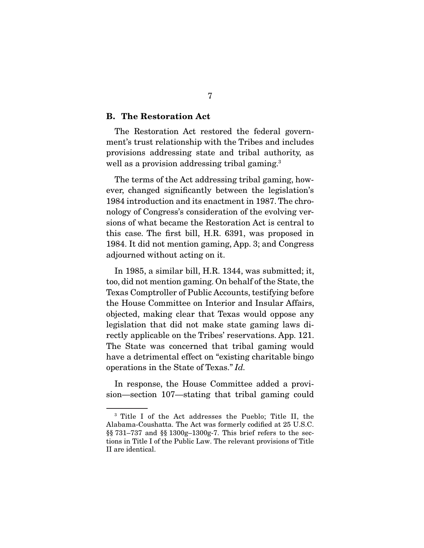#### **B. The Restoration Act**

The Restoration Act restored the federal government's trust relationship with the Tribes and includes provisions addressing state and tribal authority, as provisions addressing tribal gaming 3 well as a provision addressing tribal gaming.<sup>3</sup>

The terms of the Act addressing tribal gaming, how-<br>ever, changed significantly between the legislation's 1984 introduction and its enactment in 1987. The chronology of Congress's consideration of the evolving versions of what became the Restoration Act is central to this case. The first bill, H.R. 6391, was proposed in 1984. It did not mention gaming, App. 3; and Congress adjourned without acting on it. adjourned without acting on it.

In 1985, a similar bill, H.R. 1344, was submitted; it, too, did not mention gaming. On behalf of the State, the Texas Comptroller of Public Accounts, testifying before the House Committee on Interior and Insular Affairs, objected, making clear that Texas would oppose any legislation that did not make state gaming laws directly applicable on the Tribes' reservations. App. 121. The State was concerned that tribal gaming would have a detrimental effect on "existing charitable bingo" operations in the State of Texas." *Id.* 

 $\frac{1}{100}$  responses a provided a provided a provided a provided a provided a provided a provided a provided a provided a provided a provided a provided a provided a provided a provided a provided a provided a provided a sion in the stating term in  $\theta$  and  $\theta$  and  $\theta$  are  $\theta$ 

 $3$  Title I of the Act addresses the Pueblo; Title II, the Alabama-Coushatta. The Act was formerly codified at 25 U.S.C.  $\S$  731-737 and  $\S$  1300g-1300g-7. This brief refers to the sections in Title I of the Public Law. The relevant provisions of Title II are identical.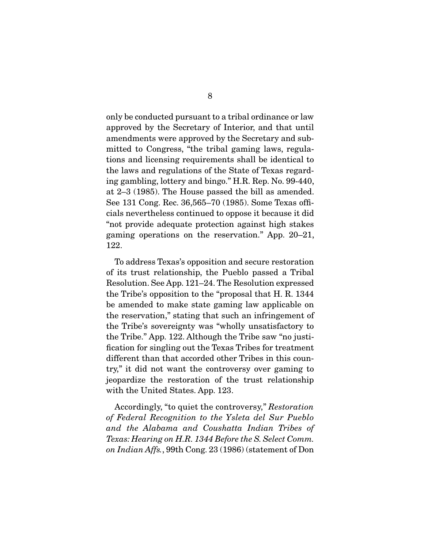only be conducted pursuant to a tribal ordinance or law<br>approved by the Secretary of Interior, and that until amendments were approved by the Secretary and submitted to Congress, "the tribal gaming laws, regulations and licensing requirements shall be identical to the laws and regulations of the State of Texas regarding gambling, lottery and bingo." H.R. Rep. No. 99-440, at  $2-3$  (1985). The House passed the bill as amended. See 131 Cong. Rec.  $36,565-70$  (1985). Some Texas officials nevertheless continued to oppose it because it did "not provide adequate protection against high stakes  $S^{\text{unim}}$  and  $I^{\text{unim}}$  protection against  $S^{\text{unim}}$ gaming operations on the reservation." App. 20–21,

 To address Texas's opposition and secure restoration  $Resolution.$  See App. 121–24. The Resolution expressed the Tribe's opposition to the "proposal that H.R. 1344 be amended to make state gaming law applicable on the reservation," stating that such an infringement of the Tribe's sovereignty was "wholly unsatisfactory to the Tribe." App. 122. Although the Tribe saw "no justification for singling out the Texas Tribes for treatment different than that accorded other Tribes in this country," it did not want the controversy over gaming to jeopardize the restoration of the trust relationship  $\frac{1}{2}$  is the restoration of the trust relation of the trust relationships  $\frac{1}{2}$ with the United States. App. 123.

 Accordingly, "to quiet the controversy," *Restoration of Federal Recognition to the Ysleta del Sur Pueblo and the Alabama and Coushatta Indian Tribes of Texas: Hearing on H.R. 1344 Before the S. Select Comm. on Indian Affs.*, 99th Cong. 23 (1986) (statement of Don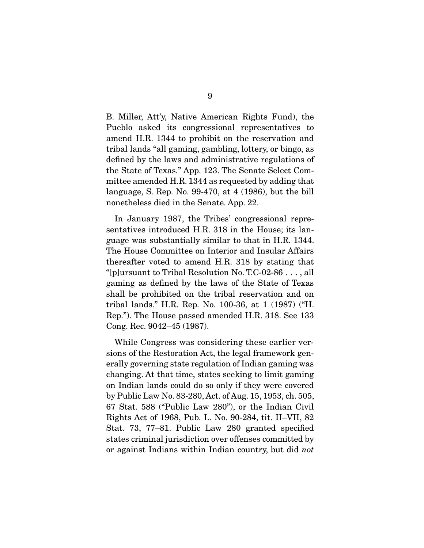B. Miller, Att'y, Native American Rights Fund), the amend H.R. 1344 to prohibit on the reservation and tribal lands "all gaming, gambling, lottery, or bingo, as defined by the laws and administrative regulations of the State of Texas." App. 123. The Senate Select Committee amended H.R. 1344 as requested by adding that language, S. Rep. No. 99-470, at  $4(1986)$ , but the bill  $l_{\text{nonorbological}}$  and  $l_{\text{in}}$  for  $l_{\text{on}}$ ,  $\Lambda_{\text{on}}$ ,  $99$ nonetheless died in the Senate. App. 22.

In January 1987, the Tribes' congressional representatives introduced H.R. 318 in the House; its language was substantially similar to that in H.R. 1344. The House Committee on Interior and Insular Affairs the reafter voted to amend H.R. 318 by stating that "[p]ursuant to Tribal Resolution No. T.C-02-86  $\dots$ , all gaming as defined by the laws of the State of Texas shall be prohibited on the tribal reservation and on tribal lands." H.R. Rep. No. 100-36, at  $1 (1987)$  ("H. Rep."). The House passed amended H.R. 318. See 133  $C_{\text{on}}$  Rep. 9049. 45. (1987)  $\overline{C}$ 

While Congress was considering these earlier ver-<br>sions of the Restoration Act, the legal framework generally governing state regulation of Indian gaming was changing. At that time, states seeking to limit gaming on Indian lands could do so only if they were covered by Public Law No. 83-280, Act. of Aug. 15, 1953, ch. 505, 67 Stat. 588 ("Public Law 280"), or the Indian Civil Rights Act of 1968, Pub. L. No. 90-284, tit. II–VII, 82 Stat. 73, 77–81. Public Law 280 granted specified states criminal jurisdiction over offenses committed by or against Indians within Indian country, but did *not*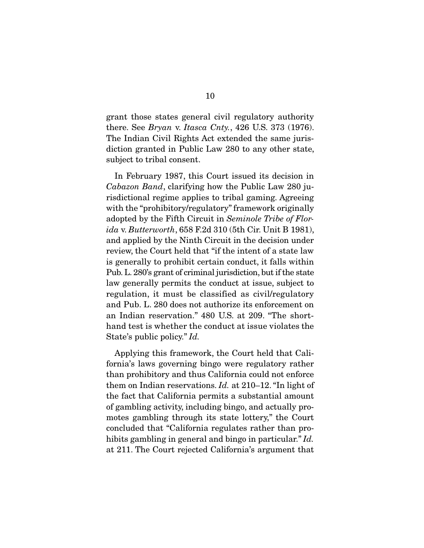there. See *Bryan v. Itasca Cnty.*, 426 U.S. 373 (1976).<br>The Indian Civil Bights Act extended the same juris The Indian Civil Rights Act extended the same juris-<br>diction granted in Public Law 280 to any other state,  $\frac{d}{dx}$  granted in Public Law  $\frac{d}{dx}$ subject to tribal consent.

*Cabazon Band*, clarifying how the Public Law 280 ju-<br>risdictional regime applies to tribal gaming. Agreeing risdictional regime applies to tribal gaming. Agreeing with the "prohibitory/regulatory" framework originally adopted by the Fifth Circuit in *Seminole Tribe of Flor-*<br>  $\frac{d}{dx}$   $R$  *Rutterworth* 658 F.2d 310 (5th Cir. Upit B.1981) *ida* v. *Butterworth*, 658 F.2d 310 (5th Cir. Unit B 1981), review, the Court held that "if the intent of a state law is generally to prohibit certain conduct, it falls within Pub. L. 280's grant of criminal jurisdiction, but if the state law generally permits the conduct at issue, subject to regulation, it must be classified as civil/regulatory and Pub. L. 280 does not authorize its enforcement on an Indian reservation." 480 U.S. at 209. "The shorthand test is whether the conduct at issue violates the hand test is whether the conduct at issue violates the State's public policy." *Id.*

Applying this framework, the Court held that Cali-<br>fornia's laws governing bingo were regulatory rather than prohibitory and thus California could not enforce them on Indian reservations. *Id.* at 210–12. "In light of the feet that California permits a substantial amount the fact that California permits a substantial amount<br>of gambling activity, including bingo, and actually promotes gambling through its state lottery," the Court concluded that "California regulates rather than proconcluded that "California regulates rather than pro-hibits gambling in general and bingo in particular." *Id.*  $\cdots$  211. The Court rejected California's argument that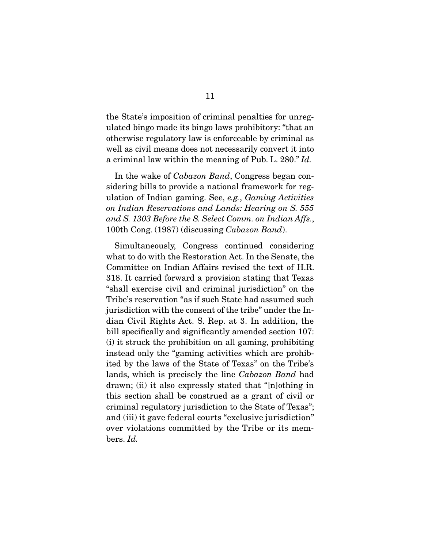the State's imposition of criminal penalties for unregulated bingo made its bingo laws prohibitory: "that an otherwise regulatory law is enforceable by criminal as well as civil means does not necessarily convert it into a criminal law within the meaning of Pub. L. 280." *Id.* 

In the wake of *Cabazon Band*, Congress began considering bills to provide a national framework for regulation of Indian gaming. See, *e.g.*, *Gaming Activities*<br>on Indian Regerations and Lande: Hearing on S. 555 *on Indian Reservations and Lands: Hearing on S. 555 and S. 1303 Before the S. Select Comm. on Indian Affs.*, 100th Cong. (1987) (discussing *Cabazon Band*).

 Simultaneously, Congress continued considering Committee on Indian Affairs revised the text of H.R. 318. It carried forward a provision stating that Texas "shall exercise civil and criminal jurisdiction" on the Tribe's reservation "as if such State had assumed such jurisdiction with the consent of the tribe" under the Indian Civil Rights Act. S. Rep. at 3. In addition, the bill specifically and significantly amended section 107.  $(i)$  it struck the prohibition on all gaming, prohibiting instead only the "gaming activities which are prohibited by the laws of the State of Texas" on the Tribe's lands, which is precisely the line *Cabazon Band* had<br>drawn: (ii) it also expressly stated that "[plathing in drawn; (ii) it also expressly stated that "[n]othing in this section shall be construed as a grant of civil or criminal regulatory jurisdiction to the State of Texas"; and (iii) it gave federal courts "exclusive jurisdiction" over violations committed by the Tribe or its mem- $\log d$ bers. *Id.*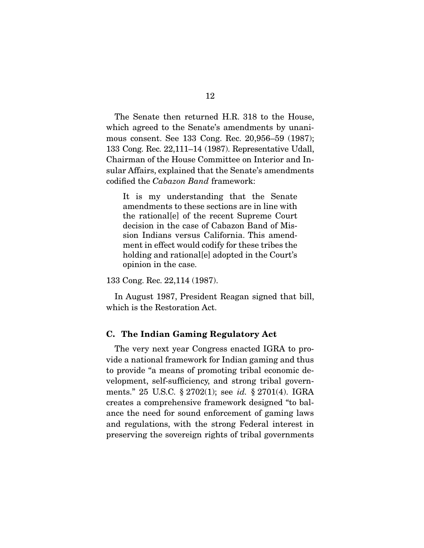The Senate then returned H.R. 318 to the House, which agreed to the Senate's amendments by unanimous consent. See 133 Cong. Rec.  $20,956-59$  (1987); 133 Cong. Rec.  $22,111-14$  (1987). Representative Udall, Chairman of the House Committee on Interior and Insular Affairs, explained that the Senate's amendments sular Affairs, explained that the Senate's amendments codified the *Cabazon Band* framework:

It is my understanding that the Senate<br>amendments to these sections are in line with the rational [e] of the recent Supreme Court decision in the case of Cabazon Band of Mission Indians versus California. This amendment in effect would codify for these tribes the holding and rational [e] adopted in the Court's holding and rational<sub>l</sub>y adopted in the Court's opinion in the case.

133 Cong. Rec. 22,114 (1987).

 In August 1987, President Reagan signed that bill, which is the Restoration Act.

#### **C. The Indian Gaming Regulatory Act**

The very next year Congress enacted IGRA to provide a national framework for Indian gaming and thus to provide "a means of promoting tribal economic development, self-sufficiency, and strong tribal governwents." 25 U.S.C. § 2702(1); see *id.* § 2701(4). IGRA greates a comprehensive framework designed "to hal creates a comprehensive framework designed "to baland regulations, with the strong Federal interest in preserving the sovereign rights of tribal governments  $p$  rights of the sound government  $\sigma$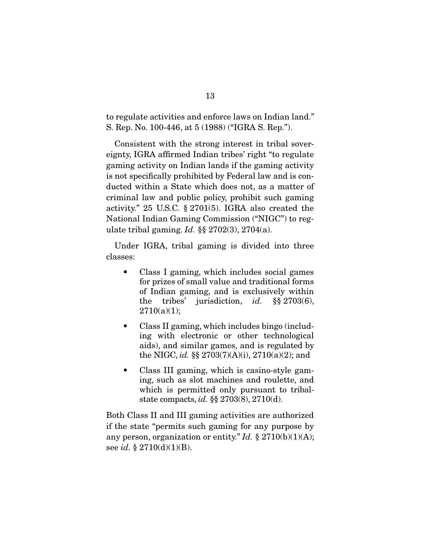to regulate activities and enforce laws on Indian land."<br>S. Rep. No. 100-446, at 5 (1988) ("IGRA S. Rep.").  $S_{\rm F}$ . No. 100-446, at 5 (1988) ("IGRA S. Rep.  $S_{\rm F}$ 

Consistent with the strong interest in tribal sover-<br>eignty, IGRA affirmed Indian tribes' right "to regulate gaming activity on Indian lands if the gaming activity is not specifically prohibited by Federal law and is conducted within a State which does not, as a matter of criminal law and public policy, prohibit such gaming activity." 25 U.S.C.  $\S 2701(5)$ . IGRA also created the National Indian Gaming Commission ("NIGC") to regulate tribal gaming. *Id.* §§ 2702(3), 2704(a).

 Under IGRA, tribal gaming is divided into three competitions.

- $\bullet$ Class I gaming, which includes social games<br>for prizes of small value and traditional forms of Indian gaming, and is exclusively within the tribes' jurisdiction, *id.*  $\S\S 2703(6)$ ,  $2710(a)(1)$ .  $2710(1,0)$
- $\bullet$ Class II gaming, which includes bingo (includ-<br>ing with electronic or other technological aids), and similar games, and is regulated by the NIGC, *id.* §§ 2703(7)(A)(i), 2710(a)(2); and
- Class III gaming, which is casino-style gaming, such as slot machines and roulette, and  $\bullet$ which is permitted only pursuant to tribalstate compacts, *id.*  $\S$ § 2703(8), 2710(d).

Both Class II and III gaming activities are authorized any person, organization or entity." *Id.* § 2710(b)(1)(A); see *id.* § 2710(d)(1)(B).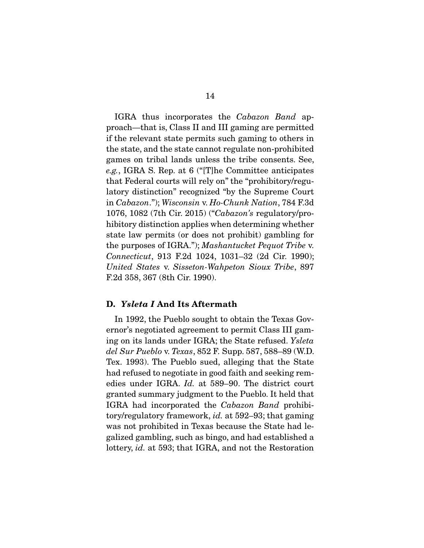IGRA thus incorporates the *Cabazon Band* apif the relevant state permits such gaming to others in the state, and the state cannot regulate non-prohibited games on tribal lands unless the tribe consents. See, e.g., IGRA S. Rep. at 6 ("[T]he Committee anticipates") that Federal courts will rely on" the "prohibitory/regu-<br>latory distinction" recognized "by the Supreme Court in *Cabazon.*"); *Wisconsin* v. *Ho-Chunk Nation*, 784 F.3d<br>1076–1089 (7th Cir. 2015) ("Cabazon's regulatory pre-1076, 1082 (7th Cir. 2015) ("*Cabazon's* regulatory/prostate law permits (or does not prohibit) gambling for state law permits (or does not prohibit) gambling for the purposes of IGRA."); *Mashantucket Pequot Tribe* v. *Connecticut*, 913 F.2d 1024, 1031–32 (2d Cir. 1990); *United States* v. *Sisseton-Wahpeton Sioux Tribe*, 897 F.2d 358, 367 (8th Cir. 1990).

#### **D.** *Ysleta I* **And Its Aftermath**

In 1992, the Pueblo sought to obtain the Texas Governor's negotiated agreement to permit Class III gamernor's negotiating<br>
ing on its lands under IGRA; the State refused. *Ysleta*<br>
del Sur Pueble y Texas 852 F Supp 587, 588, 89 (WD) *del Sur Pueblo* v. *Texas*, 852 F. Supp. 587, 588–89 (W.D. had refused to negotiate in good faith and seeking remedies under IGRA. *Id.* at 589–90. The district court IGRA had incorporated the *Cabazon Band* prohibi-<br>tory/reculatory framework id at 592, 93; that coming tory/regulatory framework, *id.* at 592–93; that gaming was not prohibited in Texas because the State had legalized gambling, such as bingo, and had established a galized gambling, such as bingo, and had established a lottery, *id.* at 593; that IGRA, and not the Restoration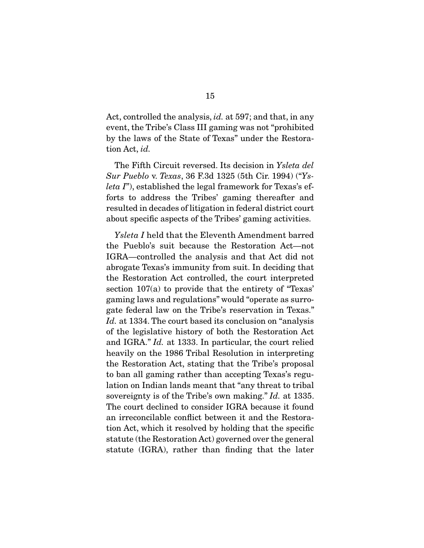Act, controlled the analysis, *id.* at 597; and that, in any by the laws of the State of Texas" under the Restora- $\mathbf{b}_j$  the laws of the State of Texas directions  $\mathbf{b}_j$ tion Act, *id.*

 The Fifth Circuit reversed. Its decision in *Ysleta del Sur Pueblo* v. *Texas*, 36 F.3d 1325 (5th Cir. 1994) ("*Ysleta I*"), established the legal framework for Texas's efforts to address the Tribes' gaming thereafter and resulted in decades of litigation in federal district court result enough a concete of the Tribes' coming activities about specific as performed as  $\mathcal{S}^{\text{max}}$  gamming activities.

*Ysleta I* held that the Eleventh Amendment barred<br>the Pueblo's suit because the Restoration Act—not IGRA—controlled the analysis and that Act did not abrogate Texas's immunity from suit. In deciding that the Restoration Act controlled, the court interpreted section  $107(a)$  to provide that the entirety of "Texas" gaming laws and regulations" would "operate as surrogate federal law on the Tribe's reservation in Texas." *Id.* at 1334. The court based its conclusion on "analysis" *is* the logislative bistory of both the Bestervation Act. and IGRA." *Id.* at 1333. In particular, the court relied<br>bosyily on the 1986 Tribel Bosolution in interpreting heavily on the 1986 Tribal Resolution in interpreting<br>the Restoration Act, stating that the Tribe's proposal to ban all gaming rather than accepting Texas's regulation on Indian lands meant that "any threat to tribal sovereignty is of the Tribe's own making." *Id.* at 1335.<br>The court declined to consider IGBA because it found The court declined to consider IGRA because it found<br>an irreconcilable conflict between it and the Restoration Act, which it resolved by holding that the specific statute (the Restoration Act) governed over the general statute (IGRA), rather than finding that the later  $s_{\text{max}}$ ,  $s_{\text{max}}$ , rather than  $s_{\text{max}}$  that the latter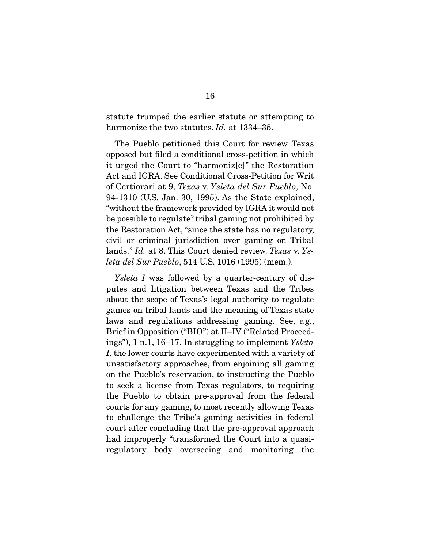harmonize the two statutes.  $Id$ . at  $1334-35$ .

The Pueblo petitioned this Court for review. Texas opposed but filed a conditional cross-petition in which it urged the Court to "harmonize" the Restoration Act and IGRA. See Conditional Cross-Petition for Writ of Certiorari at 9, *Texas* v. *Ysleta del Sur Pueblo*, No.<br>04.1310 (US Jan. 30, 1995), As the State explained 94-1310 (U.S. Jan. 30, 1995). As the State explained, "without the framework provided by IGRA it would not be possible to regulate" tribal gaming not prohibited by the Restoration Act, "since the state has no regulatory, civil or criminal jurisdiction over gaming on Tribal lands." *Id.* at 8. This Court denied review. *Texas* v. *Ys-*<br>late del Sur Pueble, 514 U.S. 1016 (1995) (mom.) *leta del Sur Pueblo*, 514 U.S. 1016 (1995) (mem.).

*Ysleta I* was followed by a quarter-century of dis-<br>putes and litigation between Texas and the Tribes about the scope of Texas's legal authority to regulate games on tribal lands and the meaning of Texas state laws and regulations addressing gaming. See, *e.g.*,<br>Brief in Opposition ("BIO") et II IV ("Bolated Preseed  $\frac{1}{2}$  ings"), 1 n.1, 16–17. In struggling to implement *Ysleta <sup>I</sup>*, the lower courts have experimented with a variety of on the Pueblo's reservation, to instructing the Pueblo to seek a license from Texas regulators, to requiring the Pueblo to obtain pre-approval from the federal courts for any gaming, to most recently allowing Texas to challenge the Tribe's gaming activities in federal court after concluding that the pre-approval approach had improperly "transformed the Court into a quasiregulatory body overseeing and monitoring the regulatory body overseeing and monitoring the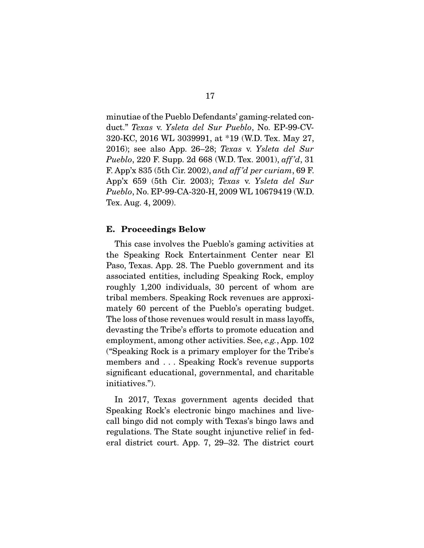duct." *Texas v. Ysleta del Sur Pueblo*, No. EP-99-CV-<br>220 KC 2016 WL 2020001 et \*10 (WD Tex Mey 27) 2016); see also App. 26–28; *Texas* v. *Ysleta del Sur*<br>*Pueblo 220 F Supp. 2d 668 (WD Tox 2001) off'd* 31 *Pueblo*, 220 F. Supp. 2d 668 (W.D. Tex. 2001), *aff 'd*, 31 F. App'x 835 (5th Cir. 2002), *and aff 'd per curiam*, 69 F. App'x 659 (5th Cir. 2003); *Texas* v. *Ysleta del Sur Pueblo*, No. EP-99-CA-320-H, 2009 WL 10679419 (W.D. Tex. Aug. 4, 2009).

#### **E. Proceedings Below**

This case involves the Pueblo's gaming activities at the Speaking Rock Entertainment Center near El Paso, Texas. App. 28. The Pueblo government and its associated entities, including Speaking Rock, employ roughly 1,200 individuals, 30 percent of whom are tribal members. Speaking Rock revenues are approximately 60 percent of the Pueblo's operating budget. The loss of those revenues would result in mass layoffs. devasting the Tribe's efforts to promote education and employment, among other activities. See, *e.g.*, App. 102<br>"Speeking Beek is a primary employer for the Tribe's" ("Speaking Rock is a primary employer for the Tribe's  $sim$   $\frac{1}{2}$  .  $\frac{1}{2}$  and  $\frac{1}{2}$  reverses  $\frac{1}{2}$  reverses  $\frac{1}{2}$  reverses  $\frac{1}{2}$  reverses  $\frac{1}{2}$  reverses  $\frac{1}{2}$  reverses  $\frac{1}{2}$  reverses  $\frac{1}{2}$  reverses  $\frac{1}{2}$  reverses  $\frac{1}{2}$  reverses  $s_{\rm g}$  and charitable  $s_{\rm g}$ .  $s_{\rm g}$  and  $s_{\rm m}$  and charitable charitable  $s_{\rm m}$ initiatives.").

In 2017, Texas government agents decided that<br>Speaking Rock's electronic bingo machines and livecall bingo did not comply with Texas's bingo laws and regulations. The State sought injunctive relief in federal district court. App. 7, 29–32. The district court eral district court. App. 7, 29–32. The district court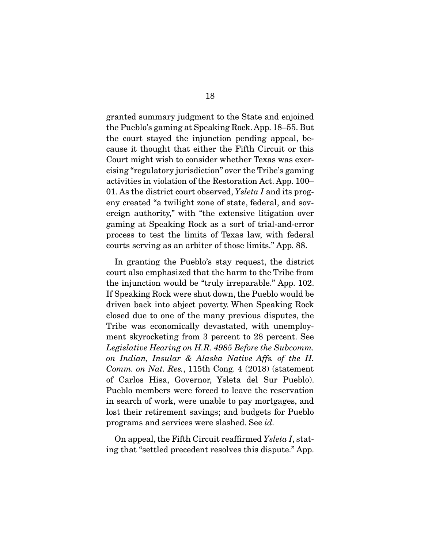granted summary judgment to the State and enjoined the court stayed the injunction pending appeal, because it thought that either the Fifth Circuit or this Court might wish to consider whether Texas was exercising "regulatory jurisdiction" over the Tribe's gaming activities in violation of the Restoration Act. App. 100– 01. As the district court observed, *Ysleta I* and its prog-<br>only greated "a twilight zone of state, federal, and soy eny created "a twilight zone of state, federal, and sover<br>ereign authority," with "the extensive litigation over gaming at Speaking Rock as a sort of trial-and-error process to test the limits of Texas law, with federalprocess to test the limits of Texas law, with federal courts serving as a non-transferred that the those limits." Applications of the service limits. "

 In granting the Pueblo's stay request, the district the injunction would be "truly irreparable." App. 102. If Speaking Rock were shut down, the Pueblo would be driven back into abject poverty. When Speaking Rock closed due to one of the many previous disputes, the Tribe was economically devastated, with unemployment skyrocketing from 3 percent to 28 percent. See Legislative Hearing on H.R. 4985 Before the Subcomm. *on Indian, Insular & Alaska Native Affs. of the H. Comm. on Nat. Res.*, 115th Cong. 4 (2018) (statement of Carlos Hisa, Governor, Ysleta del Sur Pueblo). Pueblo members were forced to leave the reservation. in search of work, were unable to pay mortgages, and lost their retirement savings; and budgets for Pueblo programs and services were slashed. See *id*.

On appeal, the Fifth Circuit reaffirmed *Ysleta I*, stating that "settled precedent resolves this dispute." App. ing that "settled precedent resolves this dispute." App.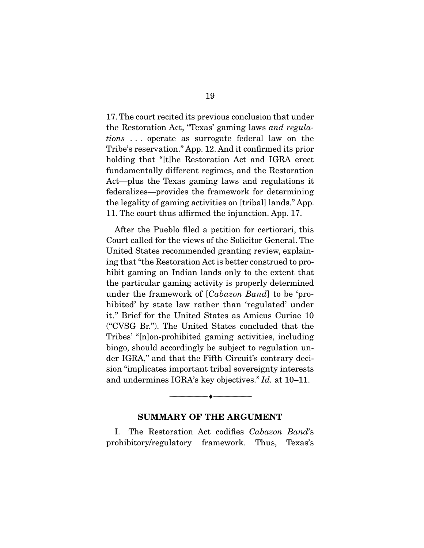the Restoration Act, "Texas' gaming laws *and regula-*<br>tions concrete as surrogets federal law on the *tions* . . . operate as surrogate federal law on the Tribe's reservation." App. 12. And it confirmed its prior holding that "[t]he Restoration Act and IGRA erect fundamentally different regimes, and the Restoration Act—plus the Texas gaming laws and regulations it federalizes—provides the framework for determining the legality of gaming activities on [tribal] lands." App. 11. The court thus affirmed the injunction. App. 17. 11. The court thus affine the injuries  $\int_{0}^{1}$ . The injuries the injuries of  $\int_{0}^{1}$ .

After the Pueblo filed a petition for certiorari, this Court called for the views of the Solicitor General. The United States recommended granting review, explaining that "the Restoration Act is better construed to prohibit gaming on Indian lands only to the extent that the particular gaming activity is properly determined under the framework of  $[Cabazon Band]$  to be 'pro-<br>hibited' by state law rather than 'reculated' under hibited' by state law rather than 'regulated' under<br>it." Brief for the United States as Amicus Curiae 10  $i$ . The United States concluded that the  $i$ Tribes' "[n]on-prohibited gaming activities, including bingo, should accordingly be subject to regulation under IGRA," and that the Fifth Circuit's contrary decision "implicates important tribal sovereignty interests" and undermines IGRA's key objectives." *Id.* at 10–11.

#### **SUMMARY OF THE ARGUMENT**

 $\overbrace{\hspace{2.5cm}}$   $\overbrace{\hspace{2.5cm}}$ 

I. The Restoration Act codifies *Cabazon Band*'s  $p$ -versions- $j$ ,  $q$  and  $q$ ,  $p$  framework. Thus, Texas's Texas's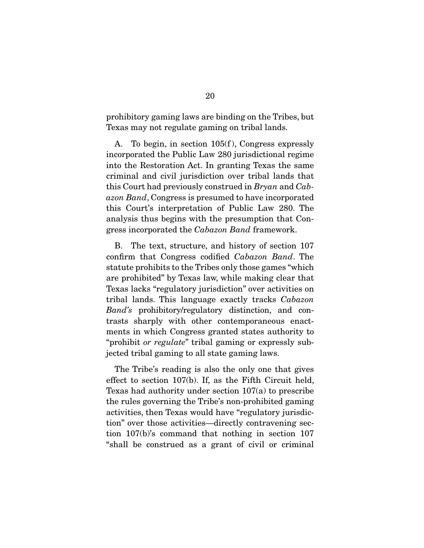produce y game gamma are binding on the Tribes, but the Tribes, but the Tribes, but the Tribes, but the Tribes, but the Tribes, but the Tribes, and the Tribes, and the Tribes, and the Tribes, and the Tribes, and the Tribes Texas may not regulate gaming on tribal lands.

A. To begin, in section 105(f), Congress expressly incorporated the Public Law 280 jurisdictional regime into the Restoration Act. In granting Texas the same criminal and civil jurisdiction over tribal lands that. this Court had previously construed in *Bryan* and *Cab-*<br>
scen Band, Congress is presumed to have incorporated *azon Band*, Congress is presumed to have incorporated analysis thus begins with the presumption that Congress incorporated the *Cabazon Band* framework.

confirm that Congress codified *Cabazon Band*. The statute prohibits to the Tribes only those games "which<br>are prohibited" by Texas law, while making clear that Texas lacks "regulatory jurisdiction" over activities on Texas lacks "regulatory" jurisdiction over activities on<br>tribal lands. This language exactly tracks *Cabazon*<br>Rand's probibitory/regulatory distinction and con *Band's* prohibitory/regulatory distinction, and contrasts sharply with other contemporaneous enactments in which Congress granted states authority to "prohibit *or regulate*" tribal gaming or expressly subjected tribal gaming to all state gaming laws.

The Tribe's reading is also the only one that gives effect to section 107(b). If, as the Fifth Circuit held, Texas had authority under section  $107(a)$  to prescribe the rules governing the Tribe's non-prohibited gaming activities, then Texas would have "regulatory jurisdiction" over those activities—directly contravening section  $107(b)$ 's command that nothing in section 107  $t_{\text{th}}$ <sup>o</sup> 107,  $\frac{1}{2}$  107,  $\frac{1}{2}$  107,  $\frac{1}{2}$  107,  $\frac{1}{2}$  107,  $\frac{1}{2}$  107,  $\frac{1}{2}$  107,  $\frac{1}{2}$  107,  $\frac{1}{2}$  107,  $\frac{1}{2}$  107,  $\frac{1}{2}$  107,  $\frac{1}{2}$  107,  $\frac{1}{2}$  107,  $\frac{1}{2}$  107,  $\frac{1}{2}$  $\frac{1}{2}$  shall be constructed as a grant of civil or criminal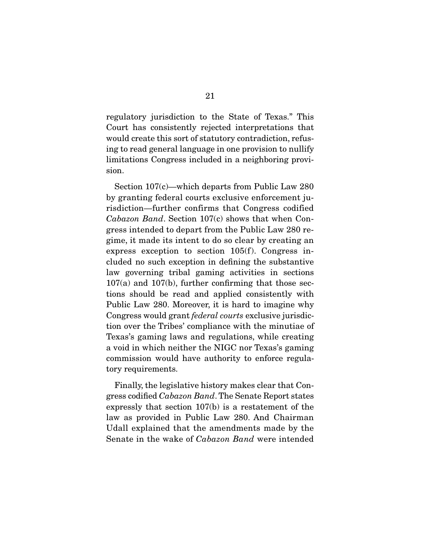regulatory jurisdiction to the State of Texas." This Court has consistently rejected interpretations that would create this sort of statutory contradiction, refusing to read general language in one provision to nullify ing to read general general provision to numerous in our provision to numerical language in the number of  $\frac{1}{2}$  $\lim_{\theta \to 0}$  and include  $\frac{1}{\theta}$  and  $\frac{1}{\theta}$  neighboring provided in a neighboring provided in a neighboring provided in a neighboring provided in a new provided in a new provided in  $\theta$  in a new provided in a new sion.

Section 107(c)—which departs from Public Law 280<br>by granting federal courts exclusive enforcement jurisdiction—further confirms that Congress codified *Cabazon Band.* Section 107(c) shows that when Con-<br> *cross* intended to depart from the Public Law 280 regress intended to depart from the Public Law 280 reexpress exception to section  $105(f)$ . Congress included no such exception in defining the substantive. law governing tribal gaming activities in sections  $107(a)$  and  $107(b)$ , further confirming that those sections should be read and applied consistently with Public Law 280. Moreover, it is hard to imagine why Congress would grant *federal courts* exclusive jurisdiction over the Tribes' compliance with the minuties of tion over the Tribes' compliance with the minutiae of a void in which neither the NIGC nor Texas's gaming commission would have authority to enforce regulatory requirements.  $\mathbf{t}$  requirements.

Finally, the legislative history makes clear that Con-<br>gress codified *Cabazon Band*. The Senate Report states expressly that section 107(b) is a restatement of the law as provided in Public Law 280. And Chairman Udall explained that the amendments made by the Senate in the wake of *Cabazon Band* were intended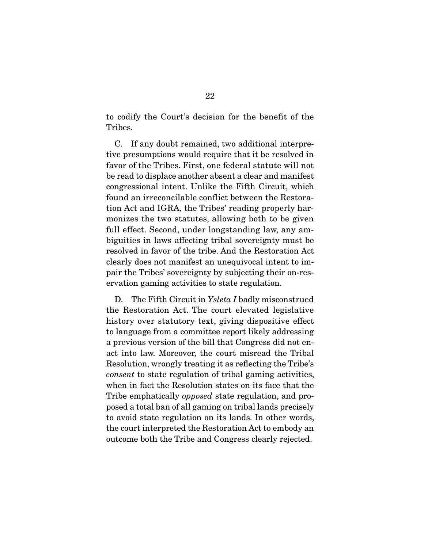to codify the Court's decision for the benefit of the Tribes.

 C. If any doubt remained, two additional interprefavor of the Tribes. First, one federal statute will not be read to displace another absent a clear and manifest congressional intent. Unlike the Fifth Circuit, which found an irreconcilable conflict between the Restoration Act and IGRA, the Tribes' reading properly harmonizes the two statutes, allowing both to be given full effect. Second, under longstanding law, any ambiguities in laws affecting tribal sovereignty must be resolved in favor of the tribe. And the Restoration Act clearly does not manifest an unequivocal intent to impair the Tribes' sovereignty by subjecting their on-respair the Tribeston south the Tribeston south the Tribeston south the Tribeston south the Tribeston south the T ervation gaming activities to state regulation.

D. The Fifth Circuit in *Ysleta I* badly misconstrued<br>the Restoration Act. The court elevated legislative history over statutory text, giving dispositive effect. to language from a committee report likely addressing a previous version of the bill that Congress did not enact into law. Moreover, the court misread the Tribal Resolution, wrongly treating it as reflecting the Tribe's *consent* to state regulation of tribal gaming activities, Tribe emphatically *opposed* state regulation, and proposed a total ban of all gaming on tribal lands precisely the court interpreted the Restoration Act to embody an  $\frac{1}{\sqrt{2}}$  and  $\frac{1}{\sqrt{2}}$  and  $\frac{1}{\sqrt{2}}$  to expansion  $\frac{1}{\sqrt{2}}$  and  $\frac{1}{\sqrt{2}}$  and  $\frac{1}{\sqrt{2}}$  and  $\frac{1}{\sqrt{2}}$  and  $\frac{1}{\sqrt{2}}$  and  $\frac{1}{\sqrt{2}}$  and  $\frac{1}{\sqrt{2}}$  and  $\frac{1}{\sqrt{2}}$  and  $\frac{1}{\sqrt{2}}$  and  $\frac{1}{\sqrt$ outcome both the Tribe and Congress clearly rejected.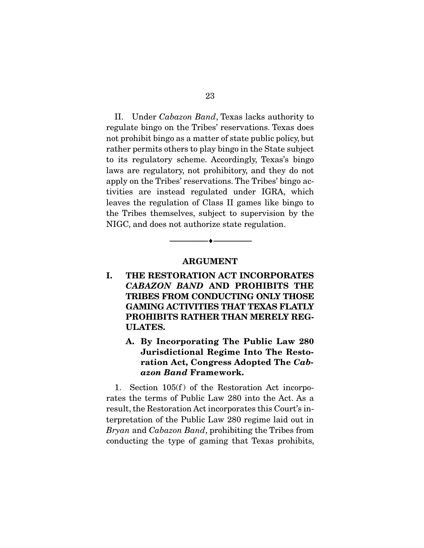II. Under *Cabazon Band*, Texas lacks authority to not prohibit bingo as a matter of state public policy, but rather permits others to play bingo in the State subject to its regulatory scheme. Accordingly, Texas's bingo laws are regulatory, not prohibitory, and they do not apply on the Tribes' reservations. The Tribes' bingo activities are instead regulated under IGRA, which leaves the regulation of Class II games like bingo to the Tribes themselves, subject to supervision by the  $NICC$  and does not authorize state regulation NIGC, and does not all the state regulation.

#### **ARGUMENT**

 $\overbrace{\hspace{2.5cm}}$   $\overbrace{\hspace{2.5cm}}$ 

- **I. THE RESTORATION ACT INCORPORATES**  *CABAZON BAND* **AND PROHIBITS THE TRIBES FROM CONDUCTING ONLY THOSE GAMING ACTIVITIES THAT TEXAS FLATLY PROHIBITS RATHER THAN MERELY REG-ULATES.** 
	- **A. By Incorporating The Public Law 280 Jurisdictional Regime Into The Restoration Act, Congress Adopted The** *Cabazon Band* **Framework.**

1. Section  $105(f)$  of the Restoration Act incorporates the terms of Public Law 280 into the Act. As a  $\mathbf{1}$ . result, the Restoration Act incorporates this Court's interpretation of the Public Law 280 regime laid out in *Bryan and Cabazon Band*, prohibiting the Tribes from<br>eopducting the type of genuing that Texas prohibits conducting the type of gaming that Texas prohibits,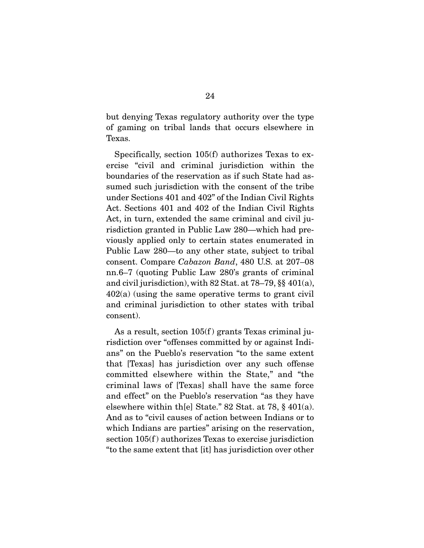$\theta$  coming on tribal lands that occurs alsowhere in of game gammang on tribal lands that occurs elsewhere in the occurs elsewhere in the second service in the second service in the second service in the second service in the second service in the second service in the secon Texas.

Specifically, section 105(f) authorizes Texas to exercise "civil and criminal jurisdiction within the boundaries of the reservation as if such State had assumed such jurisdiction with the consent of the tribe under Sections 401 and 402" of the Indian Civil Rights Act. Sections 401 and 402 of the Indian Civil Rights Act, in turn, extended the same criminal and civil jurisdiction granted in Public Law 280—which had previously applied only to certain states enumerated in Public Law 280—to any other state, subject to tribal consent. Compare *Cabazon Band*, 480 U.S. at 207–08 nn.6–7 (quoting Public Law 280's grants of criminal and civil jurisdiction), with 82 Stat. at  $78-79$ , §§  $401(a)$ ,  $402(a)$  (using the same operative terms to grant civil and criminal jurisdiction to other states with tribal and consent consent).

As a result, section 105(f) grants Texas criminal ju-<br>risdiction over "offenses committed by or against Indians" on the Pueblo's reservation "to the same extent that [Texas] has jurisdiction over any such offense committed elsewhere within the State," and "the criminal laws of [Texas] shall have the same force and effect" on the Pueblo's reservation "as they have elsewhere within the Pstate." 82 Stat. at 78,  $\S$  401(a). And as to "civil causes of action between Indians or to which Indians are parties" arising on the reservation, section  $105(f)$  authorizes Texas to exercise jurisdiction  $\mathbf{f}$  to the same extent that lit  $\log$  iurisdiction ever at her "to the same extent that [it] has jurisdiction over other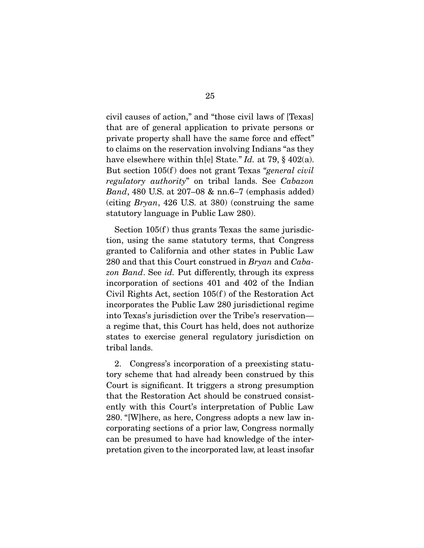civil causes of action," and "those civil laws of [Texas] private property shall have the same force and effect" to claims on the reservation involving Indians "as they have elsewhere within th[e] State."  $Id$ . at 79, § 402(a). But section 105(f) does not grant Texas "*general civil regulatory authority*" on tribal lands. See *Cabazon Band*, 480 U.S. at 207–08 & nn.6–7 (emphasis added) (citing *Bryan*, 426 U.S. at 380) (construing the same statutory language in Public Law 280.

Section  $105(f)$  thus grants Texas the same jurisdiction, using the same statutory terms, that Congress granted to California and other states in Public Law 280 and that this Court construed in *Bryan* and *Caba-*<br>
280 and Soc id. But differently through its express *zon Band*. See *id.* Put differently, through its express Civil Rights Act, section  $105(f)$  of the Restoration Act incorporates the Public Law 280 jurisdictional regime into Texas's jurisdiction over the Tribe's reservation a regime that, this Court has held, does not authorize states to exercise general regulatory jurisdiction on tribal lands. tribal lands.

2. Congress's incorporation of a preexisting statu-<br>tory scheme that had already been construed by this Court is significant. It triggers a strong presumption that the Restoration Act should be construed consistently with this Court's interpretation of Public Law 280. "[W] here, as here, Congress adopts a new law incorporating sections of a prior law, Congress normally can be presumed to have had knowledge of the interpretation given to the incorporated law, at least insofar pretation given to the incorporated law, at least insofar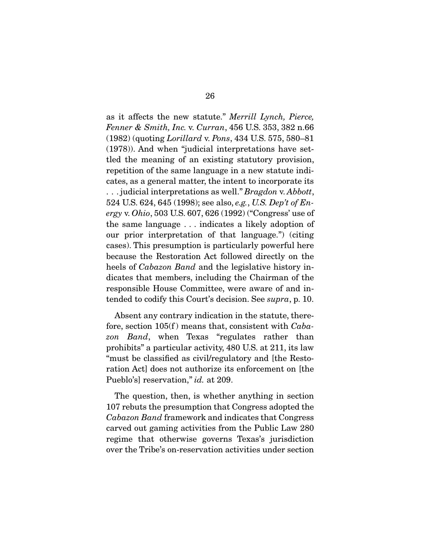as it affects the new statute." *Merrill Lynch, Pierce, Fenner & Smith, Inc.* v. *Curran*, 456 U.S. 353, 382 n.66 (1982) (quoting *Lorillard* v. *Pons*, 434 U.S. 575, 580–81 tled the meaning of an existing statutory provision, repetition of the same language in a new statute indicates, as a general matter, the intent to incorporate its . . . judicial interpretations as well." *Bragdon v. Abbott*,<br>524 US 624 645 (1998): see also e.g. US Den't of Fr. 524 U.S. 624, 645 (1998); see also, *e.g.*, *U.S. Dep't of Energy* v. *Ohio*, 503 U.S. 607, 626 (1992) ("Congress' use of our prior interpretation of that language.") (citing cases). This presumption is particularly powerful here because the Restoration Act followed directly on the heels of *Cabazon Band* and the legislative history indicates that members, including the Chairman of the responsible House Committee, were aware of and intended to codify this Court's decision. See *supra*, p. 10.

fore, section 105(f) means that, consistent with *Caba-*<br>contrary in the statute of the statute of the statute of the statute of the statute of the statute of the statu zon Band, when Texas "regulates rather than<br>prohibits" a particular activity, 480 U.S. at 211, its law "must be classified as civil/regulatory and [the Restoration Act] does not authorize its enforcement on [the Pueblo's] reservation," *id.* at 209.

The question, then, is whether anything in section 107 rebuts the presumption that Congress adopted the *Cabazon Band* framework and indicates that Congress agreed out generos adjusting from the Public Law 280. carved out gaming activities from the Public Law 280 over the Tribe's on-reservation activities under section over the Tribe's on-reservation activities under section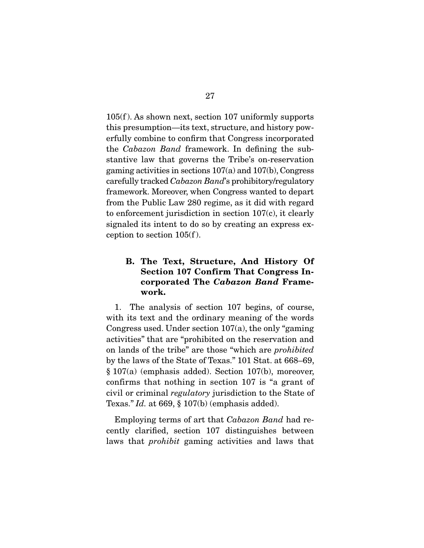105(f). As shown next, section 107 uniformly supports this presumption—its text, structure, and history powerfully combine to confirm that Congress incorporated the *Cabazon Band* framework. In defining the sub-<br>stantive law that governs the Tribe's an reconvation stantive law that governs the Tribe's on-reservation gaming activities in sections  $107(a)$  and  $107(b)$ , Congress gaming activities in sections 107(a) and 107(b), Congress<br>carefully tracked *Cabazon Band*'s prohibitory/regulatory<br>framowork. Moreovor when Congress wounted to depart framework. Moreover, when Congress wanted to depart to enforcement jurisdiction in section  $107(c)$ , it clearly signaled its intent to do so by creating an express ex $s_{\text{c}}$  is the dominant to do the so by creating and  $s_{\text{c}}$ ception to section 100(f).

#### **B. The Text, Structure, And History Of Section 107 Confirm That Congress Incorporated The** *Cabazon Band* **Framework.**

1. The analysis of section 107 begins, of course,  $1.$ Congress used. Under section  $107(a)$ , the only "gaming" activities" that are "prohibited on the reservation and on lands of the tribe" are those "which are *prohibited*<br>by the laws of the State of Toyes " 101 Stat, at 668, 69 by the laws of the State of Texas." 101 Stat. at  $668-69$ ,  $\S 107(a)$  (emphasis added). Section 107(b), moreover, confirms that nothing in section 107 is "a grant of civil or criminal *regulatory* jurisdiction to the State of Toyog " Id at 669 \$ 107(b) (omphasis added) Texas." *Id.* at 669, § 107(b) (emphasis added).

 Employing terms of art that *Cabazon Band* had relaws that *prohibit* gaming activities and laws that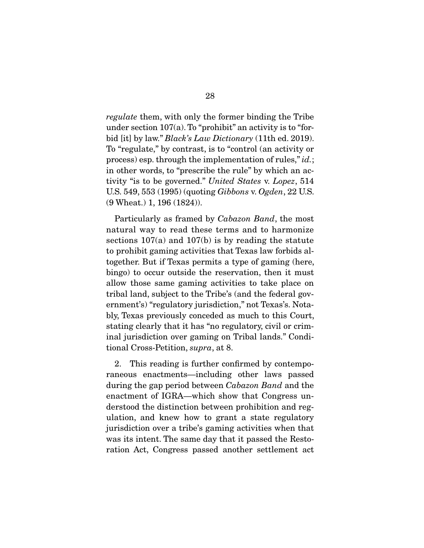*regulate* them, with only the former binding the Tribe under section 107(a). To "prohibit" an activity is to "forbid [it] by law." *Black's Law Dictionary* (11th ed. 2019). process) esp. through the implementation of rules," *id.*;<br>in other words, to "proseribe the rule" by which an ac tivity "is to be governed." *United States v. Lopez*, 514<br>TIS 549-553 (1995) (quoting Gibbone *v. Ogden*, 22 US U.S. 549, 553 (1995) (quoting *Gibbons* v. *Ogden*, 22 U.S. (9 Wheat.) 1, 196 (1824)).

 Particularly as framed by *Cabazon Band*, the most sections  $107(a)$  and  $107(b)$  is by reading the statute to prohibit gaming activities that Texas law forbids altogether. But if Texas permits a type of gaming (here, bingo) to occur outside the reservation, then it must allow those same gaming activities to take place on tribal land, subject to the Tribe's (and the federal government's) "regulatory jurisdiction," not Texas's. Notably, Texas previously conceded as much to this Court, stating clearly that it has "no regulatory, civil or criminal jurisdiction over gaming on Tribal lands." Conditional Cross-Petition, *supra*, at 8.

2. This reading is further confirmed by contemporaneous enactments—including other laws passed during the gap period between *Cabazon Band* and the enactment of IGRA—which show that Congress understood the distinction between prohibition and regulation, and knew how to grant a state regulatory jurisdiction over a tribe's gaming activities when that was its intent. The same day that it passed the Restowas intent. The same day that it passed the restore that it ration Act, Congress passed another settlement act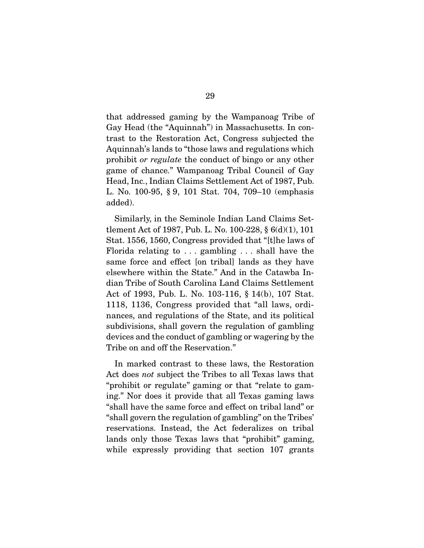that addressed gaming by the Wampanoag Tribe of trast to the Restoration Act, Congress subjected the Aquinnah's lands to "those laws and regulations which prohibit *or regulate* the conduct of bingo or any other game of chance." Wampanoag Tribal Council of Gay  $H = M_0$ , 100.95, 8.9, 101. Stat. 704, 709, 10. (amphasis)  $\Delta$ ..........<br>...

Similarly, in the Seminole Indian Land Claims Set-<br>tlement Act of 1987, Pub. L. No. 100-228, § 6(d)(1), 101 Stat. 1556, 1560, Congress provided that "[t]he laws of Florida relating to  $\ldots$  gambling  $\ldots$  shall have the same force and effect [on tribal] lands as they have elsewhere within the State." And in the Catawba Indian Tribe of South Carolina Land Claims Settlement Act of 1993, Pub. L. No. 103-116, § 14(b), 107 Stat. 1118, 1136, Congress provided that "all laws, ordinances, and regulations of the State, and its political subdivisions, shall govern the regulation of gambling devices and the conduct of gambling or wagering by the Tribe on and off the Reservation." Tribe on and off the Reservation."

Act does *not* subject the Tribes to all Texas laws that "probibit or requisite" coming or that "relate to gem "prohibit or regulate" gaming or that "relate to gaming." Nor does it provide that all Texas gaming laws " shall have the same force and effect on tribal land" or "shall govern the regulation of gambling" on the Tribes" reservations. Instead, the Act federalizes on tribal lands only those Texas laws that "prohibit" gaming,  $\frac{1}{2}$  on  $\frac{1}{2}$  or  $\frac{1}{2}$  and  $\frac{1}{2}$  and  $\frac{1}{2}$  and  $\frac{1}{2}$  and  $\frac{1}{2}$  gammage  $\frac{1}{2}$  and  $\frac{1}{2}$  and  $\frac{1}{2}$  and  $\frac{1}{2}$  and  $\frac{1}{2}$  and  $\frac{1}{2}$  and  $\frac{1}{2}$  and  $\frac{1}{2}$  and  $\frac{1}{2}$ while  $\sum_{i=1}^{n}$  expression  $\sum_{i=1}^{n}$  grants is that section  $\sum_{i=1}^{n}$  grants is the section of  $\sum_{i=1}^{n}$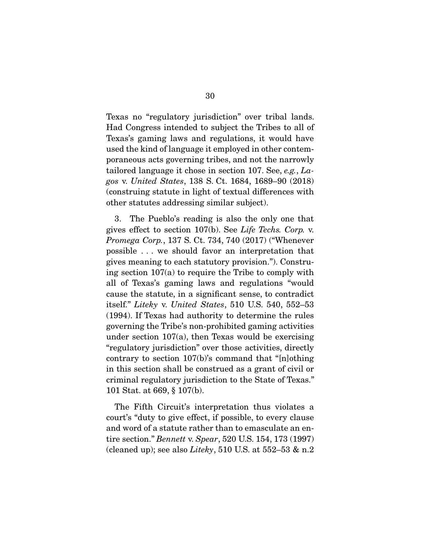Texas no "regulatory jurisdiction" over tribal lands. Texas's gaming laws and regulations, it would have used the kind of language it employed in other contemporaneous acts governing tribes, and not the narrowly tailored language it chose in section 107. See, *e.g.*, *Lagos* v. *United States*, 138 S. Ct. 1684, 1689–90 (2018)  $\frac{1}{\sqrt{2}}$  of the statute in light of the textual differences with  $\frac{1}{\sqrt{2}}$  and  $\frac{1}{\sqrt{2}}$  and  $\frac{1}{\sqrt{2}}$  and  $\frac{1}{\sqrt{2}}$  and  $\frac{1}{\sqrt{2}}$  and  $\frac{1}{\sqrt{2}}$  and  $\frac{1}{\sqrt{2}}$  and  $\frac{1}{\sqrt{2}}$  and  $\frac{1}{\sqrt{2}}$  and other statutes addressing similar subject).

gives effect to section 107(b). See *Life Techs. Corp.* v.<br>Promosa Corp. 137 S. Ct. 734, 740 (2017) ("Whonover. *Promega Corp.*, 137 S. Ct. 734, 740 (2017) ("Whenever possible . . . we should favor an interpretation that gives meaning to each statutory provision."). Construing section  $107(a)$  to require the Tribe to comply with all of Texas's gaming laws and regulations "would cause the statute, in a significant sense, to contradict cause the statute, in a significant sense, to contradict itself." *Liteky* v. *United States*, 510 U.S. 540, 552–53 (1994). If Texas had authority to determine the rules under section  $107(a)$ , then Texas would be exercising "regulatory jurisdiction" over those activities, directly contrary to section  $107(b)$ 's command that " $n|$ othing" in this section shall be construed as a grant of civil or criminal regulatory jurisdiction to the State of Texas."  $\frac{101 \text{ Stot } \text{ of } \text{G60}}{101 \text{ Stot } \text{ of } \text{G60}} \times \frac{107}{101}$  $101 \times 101$   $101 \times 100$ ,  $9 \times 100$ .

The Fifth Circuit's interpretation thus violates a court's "duty to give effect, if possible, to every clause and word of a statute rather than to emasculate an entire section." *Bennett* v. *Spear*, 520 U.S. 154, 173 (1997)<br>(cleared up): see also Litchy, 510 U.S. at 552, 53 & p. 3 (cleaned up); see also *Liteky*, 510 U.S. at 552–53 & n.2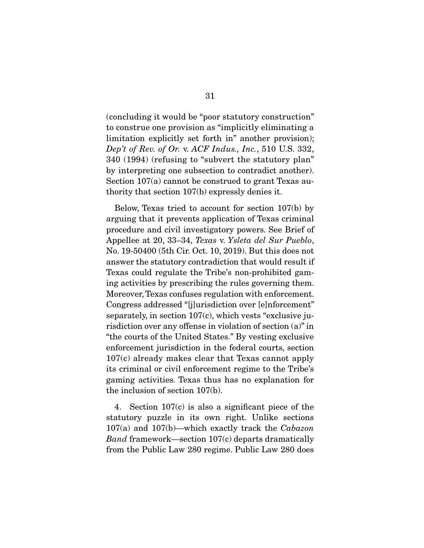(concluding it would be "poor statutory construction" limitation explicitly set forth in" another provision); *Dep't of Rev. of Or.* v. *ACF Indus., Inc.*, 510 U.S. 332,<br>340 (1994) (refusing to "subvert the statutery plan" 340 (1994) (refusing to "subvert the statutory plan"<br>by interpreting one subsection to contradict another). Section  $107(a)$  cannot be construed to grant Texas au- $\frac{1}{\sqrt{2}}$  the construction  $\frac{107}{\sqrt{2}}$  constructed to grant Texas and Texas authe system section  $\mathbf{r}$  (b) expresses it.

Below, Texas tried to account for section 107(b) by arguing that it prevents application of Texas criminal procedure and civil investigatory powers. See Brief of procedure and civil investigatory powers. See Britan 21<br>Appellee at 20, 33–34, *Texas v. Ysleta del Sur Pueblo*,<br>No. 19, 50400 (5th Cir. Oct. 10, 2019). But this does not No. 19-50400 (5th Cir. Oct. 10, 2019). But this does not Texas could regulate the Tribe's non-prohibited gaming activities by prescribing the rules governing them. Moreover, Texas confuses regulation with enforcement. Congress addressed "[j]urisdiction over [e]nforcement" separately, in section  $107(c)$ , which vests "exclusive jurisdiction over any offense in violation of section  $(a)$ " in "the courts of the United States." By vesting exclusive enforcement jurisdiction in the federal courts, section  $107(c)$  already makes clear that Texas cannot apply its criminal or civil enforcement regime to the Tribe's gaming activities. Texas thus has no explanation for the inclusion of section  $107(b)$ .  $t = \frac{1}{2} \sum_{i=1}^{n} \sum_{j=1}^{n} \sum_{j=1}^{n} \sum_{j=1}^{n} \sum_{j=1}^{n} \sum_{j=1}^{n} \sum_{j=1}^{n} \sum_{j=1}^{n} \sum_{j=1}^{n} \sum_{j=1}^{n} \sum_{j=1}^{n} \sum_{j=1}^{n} \sum_{j=1}^{n} \sum_{j=1}^{n} \sum_{j=1}^{n} \sum_{j=1}^{n} \sum_{j=1}^{n} \sum_{j=1}^{n} \sum_{j=1}^{n} \sum_{j=1}^{n} \sum_{j=1}^{n} \$ 

4. Section 107(c) is also a significant piece of the statutory puzzle in its own right. Unlike sections 107(a) and 107(b)—which exactly track the *Cabazon*<br>Band framework section 107(c) departs dramatically *Band* framework—section 107(c) departs dramatically from the Public Law 280 regime. Public Law 280 does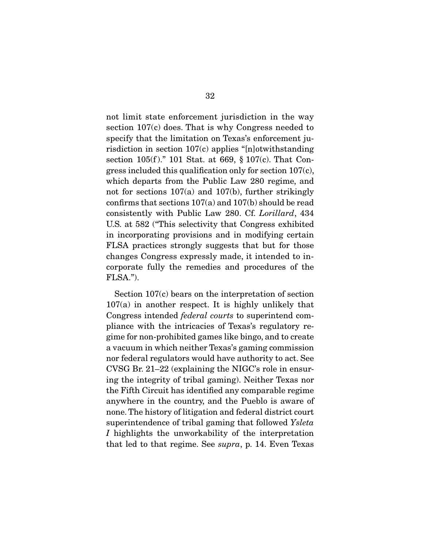not limit state enforcement jurisdiction in the way section  $107(c)$  does. That is why Congress needed to specify that the limitation on Texas's enforcement jurisdiction in section  $107(c)$  applies "[n]otwithstanding section 105(f)." 101 Stat. at 669,  $\S 107(c)$ . That Congress included this qualification only for section  $107(c)$ , which departs from the Public Law 280 regime, and not for sections  $107(a)$  and  $107(b)$ , further strikingly confirms that sections  $107(a)$  and  $107(b)$  should be read consistently with Public Law 280. Cf. *Lorillard*, 434<br>US at 582 ("This solociwity that Congress exhibited U.S. at 582 ("This selectivity that Congress exhibited<br>in incorporating provisions and in modifying certain FLSA practices strongly suggests that but for those changes Congress expressly made, it intended to in- $\frac{1}{2}$  corrected that  $\frac{1}{2}$  made to  $\frac{1}{2}$  made to intended the intended to in- $\mathbf{F}(\mathbf{C}(\mathbf{A}, \mathbf{W}))$ FLSA.").

Section 107 $(c)$  bears on the interpretation of section 107 $(a)$  in another respect. It is highly unlikely that **Congress intended** *federal courts* to superintend compliance with the intricacies of Texas's regulatory regime for non-prohibited games like bingo, and to create a vacuum in which neither Texas's gaming commission nor federal regulators would have authority to act. See  $CVSG Br. 21-22$  (explaining the NIGC's role in ensuring the integrity of tribal gaming). Neither Texas nor the Fifth Circuit has identified any comparable regime. anywhere in the country, and the Pueblo is aware of none. The history of litigation and federal district court superintendence of tribal gaming that followed *Ysleta*<br>*I* highlights the unworkebility of the interpretation *<sup>I</sup>*highlights the unworkability of the interpretation that led to that regime. See *supra*, p. 14. Even Texas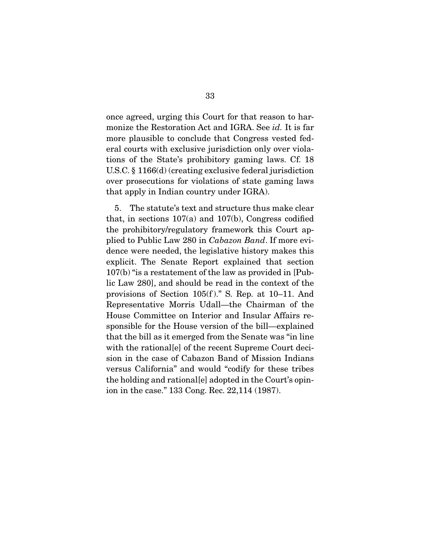monize the Restoration Act and IGRA. See  $id$ . It is far<br>more plausible to conclude that Congress vected for more plausible to conclude that Congress vested federal courts with exclusive jurisdiction only over violations of the State's prohibitory gaming laws. Cf. 18 U.S.C.  $\S$  1166(d) (creating exclusive federal jurisdiction over prosecutions for violations of state gaming laws over prosecutions for violations of state gaming laws that  $\mathbf{r}_1 \mathbf{r}_2$  is indicated indicated indicated in  $\mathbf{r}_1$ .

5. The statute's text and structure thus make clear that, in sections  $107(a)$  and  $107(b)$ , Congress codified the prohibitory/regulatory framework this Court applied to Public Law 280 in *Cabazon Band*. If more evi-<br>donce wore pooded, the logislative history makes this dence were needed, the legislative history makes this explicit. The Senate Report explained that section  $107(b)$  "is a restatement of the law as provided in [Public Law 280], and should be read in the context of the provisions of Section  $105(f)$ ." S. Rep. at 10–11. And Representative Morris Udall—the Chairman of the House Committee on Interior and Insular Affairs responsible for the House version of the bill—explained that the bill as it emerged from the Senate was "in line" with the rational [e] of the recent Supreme Court decision in the case of Cabazon Band of Mission Indians versus California" and would "codify for these tribes the holding and rational [e] adopted in the Court's opin- $\frac{1}{2}$  and rational  $\frac{1}{2}$  and  $\frac{1}{2}$  and  $\frac{1}{2}$  and  $\frac{1}{2}$  open-99.114 (1087) ion in the case." 133 Cong. Rec. 22,114 (1987).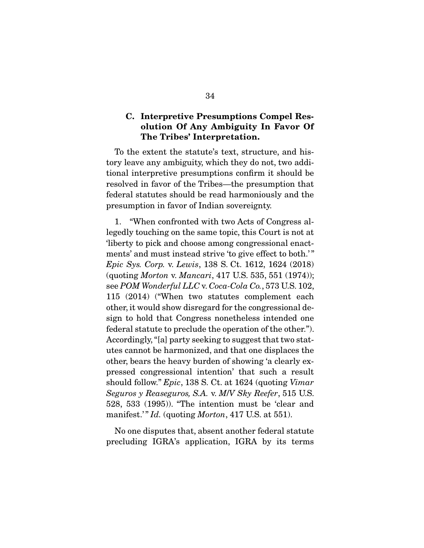#### **C. Interpretive Presumptions Compel Resolution Of Any Ambiguity In Favor Of The Tribes' Interpretation.**

To the extent the statute's text, structure, and his-<br>tory leave any ambiguity, which they do not, two additional interpretive presumptions confirm it should be resolved in favor of the Tribes--the presumption that federal statutes should be read harmoniously and the  $f(x)$  statutes show the read harmonic statutes show  $f(x)$  and the read  $f(x)$ presumption in favor of Indian sovereignty.

1. "When confronted with two Acts of Congress allegedly touching on the same topic, this Court is not at liberty to pick and choose among congressional enactments' and must instead strive 'to give effect to both.'" *Epic Sys. Corp. v. Lewis,* 138 S. Ct. 1612, 1624 (2018)<br>(queting Morton v. Managri, 417 U.S. 535, 551 (1974)). (quoting *Morton* v. *Mancari*, 417 U.S. 535, 551 (1974)); see *POM Wonderful LLC* v. *Coca-Cola Co.*, 573 U.S. 102, other, it would show disregard for the congressional design to hold that Congress nonetheless intended one federal statute to preclude the operation of the other."). Accordingly, "[a] party seeking to suggest that two statutes cannot be harmonized, and that one displaces the other, bears the heavy burden of showing 'a clearly expressed congressional intention' that such a result pressed congressional intentional intentional such a result of the *Secure of Peggggyres*  $S_A$ , *n. MN Sho Pegga*, 515 U.S. *Seguros y Reaseguros, S.A.* v. *M*/*V Sky Reefer*, 515 U.S. manifest.'" *Id.* (quoting *Morton*, 417 U.S. at 551).

 $N_{\rm}$   $N_{\rm}$  absent another federal statutes that  $N_{\rm}$  is the federal statute federal statute  $N_{\rm}$  is the federal statute  $N_{\rm}$ precedure  $\frac{1}{2}$  and  $\frac{1}{2}$  application, IGRA by its terms of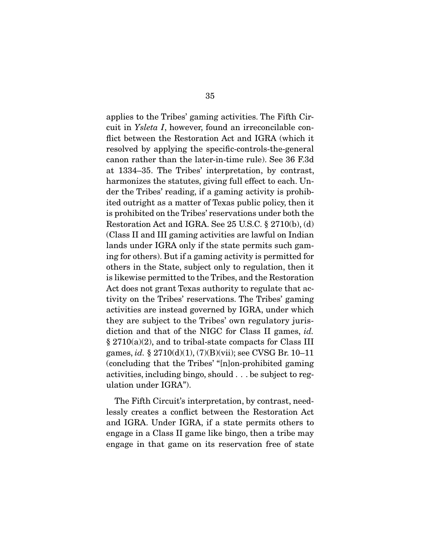cuit in *Ysleta I*, however, found an irreconcilable con-<br>fligth cirves the Pesteration Act and ICBA (which it flict between the Restoration Act and IGRA (which it resolved by applying the specific-controls-the-general canon rather than the later-in-time rule). See 36 F.3d at 1334–35. The Tribes' interpretation, by contrast, harmonizes the statutes, giving full effect to each. Under the Tribes' reading, if a gaming activity is prohibited outright as a matter of Texas public policy, then it is prohibited on the Tribes' reservations under both the Restoration Act and IGRA. See  $25$  U.S.C.  $\S 2710(b)$ , (d) (Class II and III gaming activities are lawful on Indian lands under IGRA only if the state permits such gaming for others). But if a gaming activity is permitted for others in the State, subject only to regulation, then it is likewise permitted to the Tribes, and the Restoration Act does not grant Texas authority to regulate that activity on the Tribes' reservations. The Tribes' gaming activities are instead governed by IGRA, under which they are subject to the Tribes' own regulatory jurisdiction and that of the NIGC for Class II games, *id.*<br>  $8.9710(2)(2)$  and to tribel state compacts for Class III games, *id.* § 2710(d)(1), (7)(B)(vii); see CVSG Br. 10–11 (concluding that the Tribes' "[n]on-prohibited gaming activities, including bingo, should . . . be subject to regulation under IGRA"). ulation under IGRA").

The Fifth Circuit's interpretation, by contrast, need-<br>lessly creates a conflict between the Restoration Act and IGRA. Under IGRA, if a state permits others to engage in a Class II game like bingo, then a tribe may  $\frac{1}{2}$  gage in a Class II game like  $\frac{1}{2}$  gas in the magnetic may be may be made. engage in the game on its reservation free of states.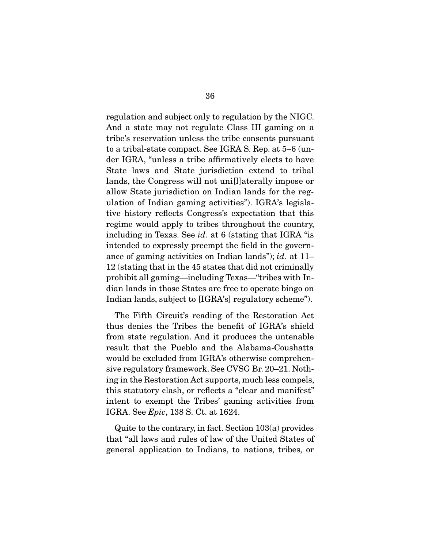regulation and subject only to regulation by the NIGC. tribe's reservation unless the tribe consents pursuant to a tribal-state compact. See IGRA S. Rep. at  $5-6$  (under IGRA, "unless a tribe affirmatively elects to have State laws and State jurisdiction extend to tribal lands, the Congress will not unillet at the state or allow State jurisdiction on Indian lands for the regulation of Indian gaming activities"). IGRA's legislative history reflects Congress's expectation that this regime would apply to tribes throughout the country, including in Texas. See *id.* at 6 (stating that IGRA "is ance of gaming activities on Indian lands"); *id.* at 11– 12 (stating that in the 45 states that did not criminally prohibit all gaming—including Texas—"tribes with Indian lands in those States are free to operate bingo on  $\frac{1}{2}$  lands  $\frac{1}{2}$  are free to  $\frac{1}{2}$  and  $\frac{1}{2}$  are free to  $\frac{1}{2}$  and  $\frac{1}{2}$  are free to  $\frac{1}{2}$  and  $\frac{1}{2}$  are  $\frac{1}{2}$  and  $\frac{1}{2}$  are  $\frac{1}{2}$  and  $\frac{1}{2}$  are  $\frac{1}{2}$  and  $\frac{1}{2}$  are  $I_{\text{S}}$  subject to  $I_{\text{S}}$  regulates) schemes  $\lambda$ .

The Fifth Circuit's reading of the Restoration Act<br>thus denies the Tribes the benefit of IGRA's shield from state regulation. And it produces the untenable result that the Pueblo and the Alabama-Coushatta would be excluded from IGRA's otherwise comprehensive regulatory framework. See CVSG Br. 20–21. Nothing in the Restoration Act supports, much less compels, this statutory clash, or reflects a "clear and manifest" intent to exempt the Tribes' gaming activities from IGRA. See *Epic*, 138 S. Ct. at 1624.

 Quite to the contrary, in fact. Section 103(a) provides general application to Indians, to nations, tribes, or  $\sigma$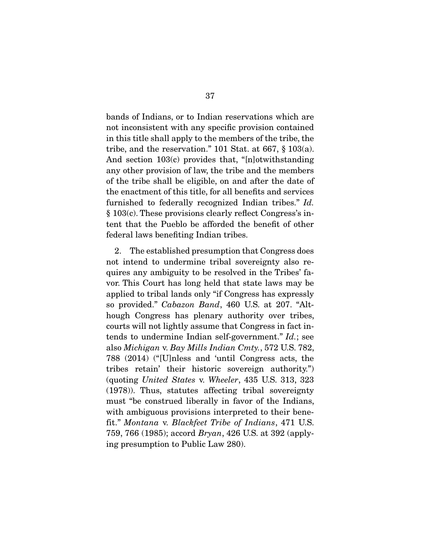bands of Indians, or to Indian reservations which are not inconsistent with any specific provision contained in this title shall apply to the members of the tribe, the tribe, and the reservation." 101 Stat. at 667,  $\S$  103(a). And section  $103(c)$  provides that, "[n]otwithstanding any other provision of law, the tribe and the members of the tribe shall be eligible, on and after the date of the enactment of this title, for all benefits and services furnished to federally recognized Indian tribes."  $Id$ .<br>  $\frac{8.103(a)}{b}$  These provisions clearly reflect Congress's in § 103(c). These provisions clearly reflect Congress's inted that the Pueblo benefit of other the pulled the pulled the pulled the pulled the pulled the benefit of other federal laws benefiting Indian tribes.

2. The established presumption that Congress does not intend to undermine tribal sovereignty also requires any ambiguity to be resolved in the Tribes' favor. This Court has long held that state laws may be applied to tribal lands only "if Congress has expressly so provided." *Cabazon Band*, 460 U.S. at 207. "Although Congress has plenary authority over tribes, courts will not lightly assume that Congress in fact incourts will not lightly assume that Congress in fact in-<br>tends to undermine Indian self-government." *Id.*; see<br>also *Michigan y. Bay Mills Indian Cmty*, 572 US 782 also *Michigan* v. *Bay Mills Indian Cmty.*, 572 U.S. 782, tribes retain' their historic sovereign authority.")  $\frac{1}{2}$  (quoting *United States v. Wheeler*, 435 U.S. 313, 323)<br> $\frac{1}{2}$  (1978)) Thus statutes affecting tribal sovereignty (1978)). Thus, statutes affecting tribal sovereignty with ambiguous provisions interpreted to their benefit." *Montana* v. *Blackfeet Tribe of Indians*, 471 U.S.<br>759, 766 (1985): 2000rd Bruan, 426 U.S. et 392 (apply) 759, 766 (1985); accord *Bryan*, 426 U.S. at 392 (applying presumption to Public Law 280).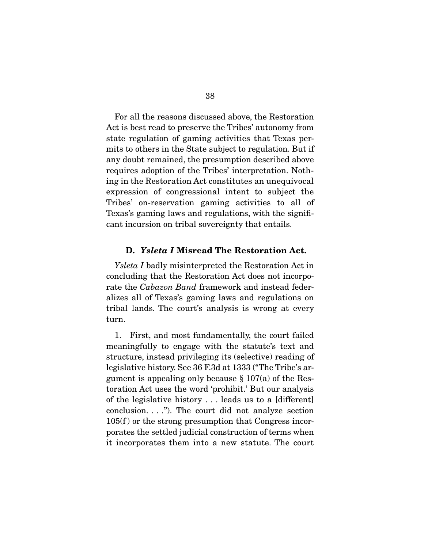For all the reasons discussed above, the Restoration<br>Act is best read to preserve the Tribes' autonomy from state regulation of gaming activities that Texas permits to others in the State subject to regulation. But if any doubt remained, the presumption described above requires adoption of the Tribes' interpretation. Nothing in the Restoration Act constitutes an unequivocal expression of congressional intent to subject the Tribes' on-reservation gaming activities to all of Texas's gaming laws and regulations, with the signifi- $\frac{1}{2}$  and  $\frac{1}{2}$  and  $\frac{1}{2}$  and  $\frac{1}{2}$  and  $\frac{1}{2}$  and  $\frac{1}{2}$  and  $\frac{1}{2}$  and  $\frac{1}{2}$  and  $\frac{1}{2}$  and  $\frac{1}{2}$  and  $\frac{1}{2}$  and  $\frac{1}{2}$  and  $\frac{1}{2}$  and  $\frac{1}{2}$  and  $\frac{1}{2}$  and  $\frac{1}{2}$  a can tribal source incursion on the entails.

#### **D.** *Ysleta I* **Misread The Restoration Act.**

*Ysleta I* badly misinterpreted the Restoration Act in concluding that the Restoration Act does not incorporate the *Cabazon Band* framework and instead feder-<br>plizes all of Toxes's gaming laws and regulations on alizes all of Texas's gaming laws and regulations on  $t$ turn.

 1. First, and most fundamentally, the court failed structure, instead privileging its (selective) reading of legislative history. See 36 F.3d at 1333 ("The Tribe's argument is appealing only because  $\S 107(a)$  of the Restoration Act uses the word 'prohibit.' But our analysis of the legislative history  $\ldots$  leads us to a [different] conclusion. . . ."). The court did not analyze section  $105(f)$  or the strong presumption that Congress incorporates the settled judicial construction of terms when it incorporates them into a new statute. The court it incorporates them into a new statute. The court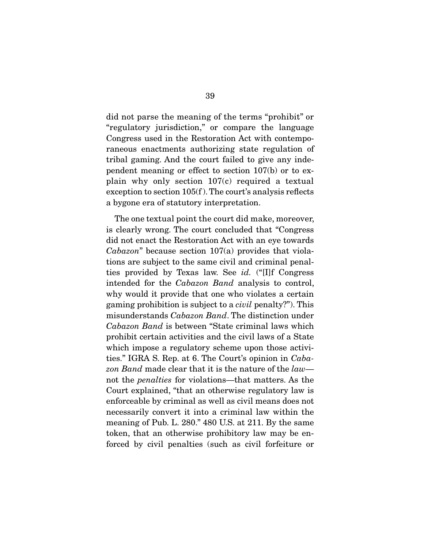did not parse the meaning of the terms "prohibit" or "regulatory jurisdiction," or compare the language Congress used in the Restoration Act with contemporaneous enactments authorizing state regulation of tribal gaming. And the court failed to give any independent meaning or effect to section  $107(b)$  or to explain why only section  $107(c)$  required a textual exception to section  $105(f)$ . The court's analysis reflects a bygone era of statutory interpretation. a bygone era of statutory interpretation.

The one textual point the court did make, moreover, is clearly wrong. The court concluded that "Congress" did not enact the Restoration Act with an eye towards Cabazon" because section 107(a) provides that viola-<br>tions are subject to the same eivil and griminal popel ties provided by Texas law. See *id.* ("[I]f Congress<br>intended for the *Cabazon Band* analysis to control intended for the *Cabazon Band* analysis to control, gaming prohibition is subject to a *civil* penalty?"). This<br>misundorstands *Cabazon Band* The distinction under misunderstands *Cabazon Band*. The distinction under *Cabazon Band* is between "State criminal laws which which impose a regulatory scheme upon those activities." IGRA S. Rep. at 6. The Court's opinion in *Caba-*<br>
can Band mode clear that it is the nature of the law. *zon Band* made clear that it is the nature of the *law* not the *penalties* for violations—that matters. As the Court explained, "that an otherwise regulatory law is enforceable by criminal as well as civil means does not necessarily convert it into a criminal law within the meaning of Pub. L.  $280$ ."  $480$  U.S. at  $211$ . By the same token, that an otherwise prohibitory law may be en- $\frac{1}{2}$  to  $\frac{1}{2}$  and  $\frac{1}{2}$  to  $\frac{1}{2}$  for  $\frac{1}{2}$  for  $\frac{1}{2}$  or  $\frac{1}{2}$  for  $\frac{1}{2}$  or  $\frac{1}{2}$  or  $\frac{1}{2}$  for  $\frac{1}{2}$  or  $\frac{1}{2}$  or  $\frac{1}{2}$  for  $\frac{1}{2}$  or  $\frac{1}{2}$  or  $\frac{1}{2}$  for  $\frac{1}{$ forced by civil penalties (such as civil for  $\mathbf{r}$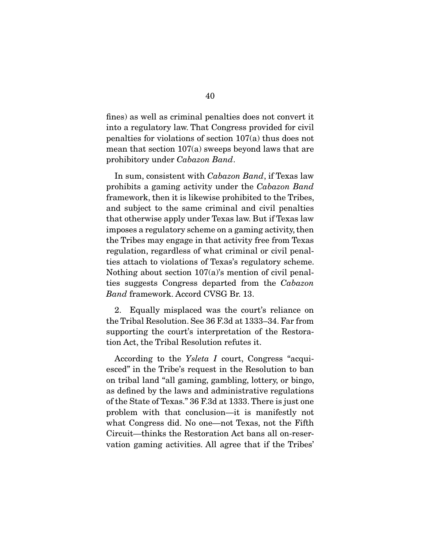fines) as well as criminal penalties does not convert it penalties for violations of section  $107(a)$  thus does not mean that section  $107(a)$  sweeps beyond laws that are prohibitory under *Cabazon Band*.

 In sum, consistent with *Cabazon Band*, if Texas law prohibits a gaming activity under the *Cabazon Band*  and subject to the same criminal and civil penalties that otherwise apply under Texas law. But if Texas law imposes a regulatory scheme on a gaming activity, then the Tribes may engage in that activity free from Texas regulation, regardless of what criminal or civil penalties attach to violations of Texas's regulatory scheme. Nothing about section  $107(a)$ 's mention of civil penalties suggests Congress departed from the *Cabazon* **Band**-fromovork Agood CVSC Br 13 *Band* framework. Accord CVSG Br. 13.

2. 2. Equally misplaced was the court's reliance on the Tribal Resolution. See 36 F.3d at 1333–34. Far from supporting the court's interpretation of the Restora- $\frac{1}{\pi}$  interpretation of the court of the court of the Court of the Court of the Court of the Court of the Court of the Court of the Court of the Court of the Court of the Court of the Court of the Court of the Court tion Act, the Tribal Resolution refutes it.

According to the *Ysleta I* court, Congress "acquiesced" in the Tribe's request in the Resolution to ban on tribal land "all gaming, gambling, lottery, or bingo, as defined by the laws and administrative regulations of the State of Texas." 36 F.3d at 1333. There is just one problem with that conclusion—it is manifestly not what Congress did. No one—not Texas, not the Fifth Circuit—thinks the Restoration Act bans all on-reser- $\frac{1}{\sqrt{1-\frac{1}{\sqrt{1-\frac{1}{\sqrt{1-\frac{1}{\sqrt{1-\frac{1}{\sqrt{1-\frac{1}{\sqrt{1-\frac{1}{\sqrt{1-\frac{1}{\sqrt{1-\frac{1}{\sqrt{1-\frac{1}{\sqrt{1-\frac{1}{\sqrt{1-\frac{1}{\sqrt{1-\frac{1}{\sqrt{1-\frac{1}{\sqrt{1-\frac{1}{\sqrt{1-\frac{1}{\sqrt{1-\frac{1}{\sqrt{1-\frac{1}{\sqrt{1-\frac{1}{\sqrt{1-\frac{1}{\sqrt{1-\frac{1}{\sqrt{1-\frac{1}{\sqrt{1-\frac{1}{\sqrt{1-\frac{1}{\sqrt{1-\frac{1$ vation gaming activities. All agree that if the Tribes'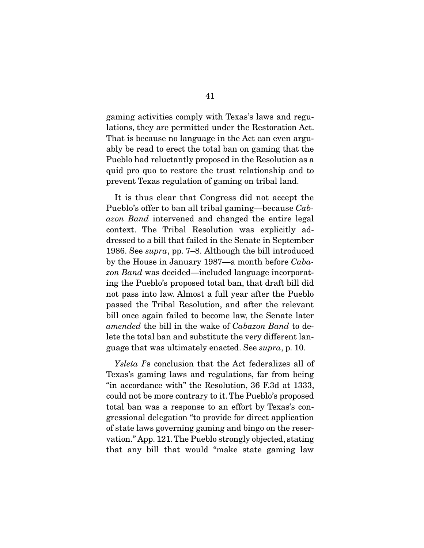gaming activities comply with Texas's laws and regu-That is because no language in the Act can even arguably be read to erect the total ban on gaming that the Pueblo had reluctantly proposed in the Resolution as a quid pro quo to restore the trust relationship and to quid pro quo to restore the trust relationship and to prevent Texas regulation of gaming on tribal land.

It is thus clear that Congress did not accept the<br>Pueblo's offer to ban all tribal gaming—because *Cab-*<br> *azer* Band intervened and changed the entire legal *azon Band* intervened and changed the entire legal dressed to a bill that failed in the Senate in September 1986. See *supra*, pp. 7–8. Although the bill introduced by the House in January 1987, a month before  $C$ she by the House in January 1987—a month before *Caba*zon Band was decided—included language incorporat-<br>ing the Pueblo's proposed total ban, that draft bill did not pass into law. Almost a full year after the Pueblo passed the Tribal Resolution, and after the relevant bill once again failed to become law, the Senate later amended the bill in the wake of *Cabazon Band* to deguage that was ultimately enacted. See *supra*, p. 10.

*Ysleta I*'s conclusion that the Act federalizes all of Texas's gaming laws and regulations, far from being "in accordance with" the Resolution,  $36$  F.3d at 1333, could not be more contrary to it. The Pueblo's proposed total ban was a response to an effort by Texas's congressional delegation "to provide for direct application" of state laws governing gaming and bingo on the reservation." App. 121. The Pueblo strongly objected, stating  $\frac{1}{2}$  and  $\frac{1}{2}$  the Pueblo state stating of  $\frac{1}{2}$  and  $\frac{1}{2}$  and  $\frac{1}{2}$  and  $\frac{1}{2}$  and  $\frac{1}{2}$  and  $\frac{1}{2}$  and  $\frac{1}{2}$  and  $\frac{1}{2}$  and  $\frac{1}{2}$  and  $\frac{1}{2}$  and  $\frac{1}{2}$  and  $\frac{1}{2}$  and  $t_{\text{max}}$  bill that would "make state gammage in  $\theta$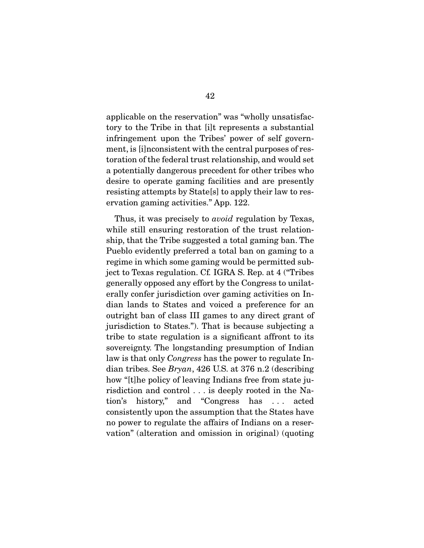applicable on the reservation" was "wholly unsatisfactory to the Tribe in that [i]t represents a substantial infringement upon the Tribes' power of self government, is [i] nonsistent with the central purposes of restoration of the federal trust relationship, and would set a potentially dangerous precedent for other tribes who desire to operate gaming facilities and are presently resisting attempts by State[s] to apply their law to reservation gaming activities." App. 122. ervation gaming activities." App. 122.

Thus, it was precisely to *avoid* regulation by Texas, while still ensuring restoration of the trust relationship, that the Tribe suggested a total gaming ban. The Pueblo evidently preferred a total ban on gaming to a. regime in which some gaming would be permitted subregime in which some gaming would be permitted sub-ject to Texas regulation. Cf*.* IGRA S. Rep. at 4 ("Tribes generally opposed any effort by the Congress to unilatdian lands to States and voiced a preference for an outright ban of class III games to any direct grant of jurisdiction to States."). That is because subjecting a tribe to state regulation is a significant affront to its sovereignty. The longstanding presumption of Indian law is that only *Congress* has the power to regulate Indian tribes. See *Brugn*, 426 U.S. at 376 n.2 (describing dian tribes. See *Bryan*, 426 U.S. at 376 n.2 (describing risdiction and control . . . is deeply rooted in the Nation's history," and "Congress has ... acted consistently upon the assumption that the States have no power to regulate the affairs of Indians on a reserno power to regulate the analysis of indicates the affairs variant  $\alpha$  is a time in our group in  $\alpha$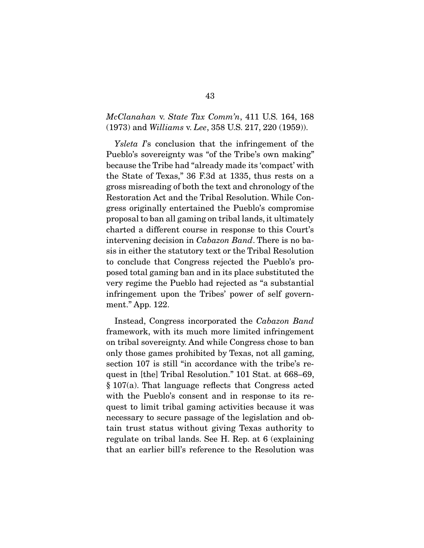#### *McClanahan* v. *State Tax Comm'n*, 411 U.S. 164, 168 (1973) and *Williams* v. *Lee*, 358 U.S. 217, 220 (1959)).

*Ysleta I*'s conclusion that the infringement of the Pueblo's sovereignty was "of the Tribe's own making" because the Tribe had "already made its 'compact' with the State of Texas," 36 F.3d at 1335, thus rests on a gross misreading of both the text and chronology of the Restoration Act and the Tribal Resolution. While Congress originally entertained the Pueblo's compromise. proposal to ban all gaming on tribal lands, it ultimately charted a different course in response to this Court's intervening decision in *Cabazon Band*. There is no ba-<br>sis in oither the statutory text or the Tribel Beselution sis in either the statutory text or the Tribal Resolution<br>to conclude that Congress rejected the Pueblo's proposed total gaming ban and in its place substituted the very regime the Pueblo had rejected as "a substantial infringement upon the Tribes' power of self government." App.  $122$ . ment." App. 122.

 Instead, Congress incorporated the *Cabazon Band*  on tribal sovereignty. And while Congress chose to ban only those games prohibited by Texas, not all gaming, section 107 is still "in accordance with the tribe's request in [the] Tribal Resolution." 101 Stat. at 668–69,  $\S 107(a)$ . That language reflects that Congress acted. with the Pueblo's consent and in response to its request to limit tribal gaming activities because it was necessary to secure passage of the legislation and obtain trust status without giving Texas authority to regulate on tribal lands. See H. Rep. at  $6$  (explaining that an earlier bill's reference to the Resolution was that an earlier bill's reference to the Resolution was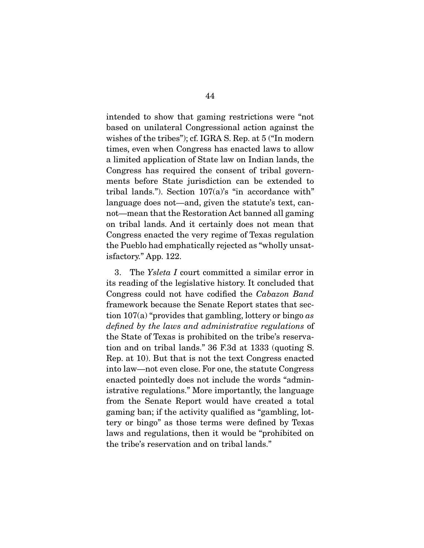intended to show that gaming restrictions were "not wishes of the tribes"); cf. IGRA S. Rep. at  $5$  ("In modern times, even when Congress has enacted laws to allow a limited application of State law on Indian lands, the Congress has required the consent of tribal governments before State jurisdiction can be extended to tribal lands."). Section  $107(a)$ 's "in accordance with" language does not—and, given the statute's text, cannot—mean that the Restoration Act banned all gaming on tribal lands. And it certainly does not mean that Congress enacted the very regime of Texas regulation the Pueblo had emphatically rejected as "wholly unsat $t_{\text{refactor}}$   $\frac{1}{2}$  and  $\frac{1}{2}$  regions as  $\frac{1}{2}$  whole  $\mathbf{F}$ 

3. The *Ysleta I* court committed a similar error in its reading of the legislative history. It concluded that Congress could not have codified the *Cabazon Band*<br>framework because the Senate Banert states that see  $f(x)$  tion 107(a) "provides that gambling, lottery or bingo *as* defined by the laws and administrative regulations of *defined by the laws and administrative regulations* of tion and on tribal lands."  $36$  F.3d at 1333 (quoting S. Rep. at 10). But that is not the text Congress enacted. into law—not even close. For one, the statute Congress enacted pointedly does not include the words "administrative regulations." More importantly, the language from the Senate Report would have created a total gaming ban; if the activity qualified as "gambling, lottery or bingo" as those terms were defined by Texas laws and regulations, then it would be "prohibited on the tribe's reservation and on tribal lands." the tribe's reservation and on tribal lands."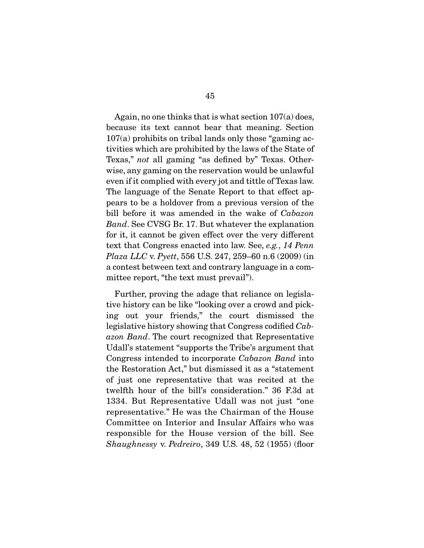Again, no one thinks that is what section 107(a) does,<br>because its text cannot bear that meaning. Section  $b^{107(a)}$  prohibits on tribal lands only those "gaming activities which are prohibited by the laws of the State of Texas," *not* all gaming "as defined by" Texas. Otherwise, any gaming on the reservation would be unlawful<br>even if it complied with every jot and tittle of Texas law. The language of the Senate Report to that effect appears to be a holdover from a previous version of the pears to be a hold of the state of *previous* version of the bill before it was amended in the wake of *Cabazon* **Band** See CVSG Br 17. But whatever the explanation *Band*. See CVSG Br. 17. But whatever the explanation for it, it cannot be given effect over the very different for it, it cannot be given effect over the very different text that Congress enacted into law. See, *e.g.*, *14 Penn Plaza LLC v. Pautt.* 556 US 247 259 60 p.6 (2009) (ip *Plaza LLC* v. *Pyett*, 556 U.S. 247, 259–60 n.6 (2009) (in a contest between text and contrary language in a com- $\mathbf{r}_1$  is the text must prevail  $\mathbf{r}_1$ .

Further, proving the adage that reliance on legislative history can be like "looking over a crowd and picking out your friends," the court dismissed the legislative history showing that Congress codified *Cab-*<br>
cong Band, The court recognized that Perrosentative *azon Band*. The court recognized that Representative Udall's statement "supports the Tribe's argument that Udally Supports the Tribe of the Tribe's argument Cabazon Band into<br>the Pesterstian Act " but dismissed it as a "statement" the Restoration Act," but dismissed it as a "statement twelfth hour of the bill's consideration." 36 F.3d at 1334. But Representative Udall was not just "one representative." He was the Chairman of the House Committee on Interior and Insular Affairs who was responsible for the House version of the bill. See *Shaughnessy* v. *Pedreiro*, 349 U.S. 48, 52 (1955) (floor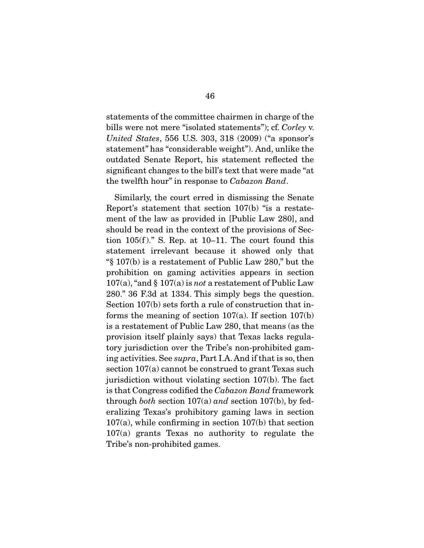bills were not mere "isolated statements"); cf. *Corley v.*<br>United States, 556 U.S. 202, 218 (2000) ("o gponsor"s *United States*, 556 U.S. 303, 318 (2009) ("a sponsor's statement" has "considerable weight"). And, unlike the outdated Senate Report, his statement reflected the significant changes to the bill's text that were made "at significant changes to the bill's text that were made "at the twelfth hour" in response to *Cabazon Band*.

Similarly, the court erred in dismissing the Senate<br>Report's statement that section 107(b) "is a restatement of the law as provided in [Public Law 280], and should be read in the context of the provisions of Section  $105(f)$ ." S. Rep. at 10–11. The court found this statement irrelevant because it showed only that  $\frac{107(b)}{25}$  is a restatement of Public Law 280," but the prohibition on gaming activities appears in section  $p_1$ <br>
107(a), "and § 107(a) is *not* a restatement of Public Law<br>
280." 36 E<sub>3</sub>d et 1334. This simply bors the question 280." 36 F.3d at 1334. This simply begs the question. forms the meaning of section  $107(a)$ . If section  $107(b)$ is a restatement of Public Law 280, that means (as the provision itself plainly says) that Texas lacks regulatory jurisdiction over the Tribe's non-prohibited gaming activities. See *supra*, Part I.A. And if that is so, then section  $107(a)$  cannot be construed to grant Texas such<br>jurisdiction without violating section  $107(b)$ . The fact is that Congress codified the *Cabazon Band* framework<br>through heth section 107(e) and section 107(b), by fed through *both* section 107(a) *and* section 107(b), by fed- $107(a)$ , while confirming in section  $107(b)$  that section  $107(a)$  grants Texas no authority to regulate the  $\frac{1}{2}$ Tribe's non-prohibited games.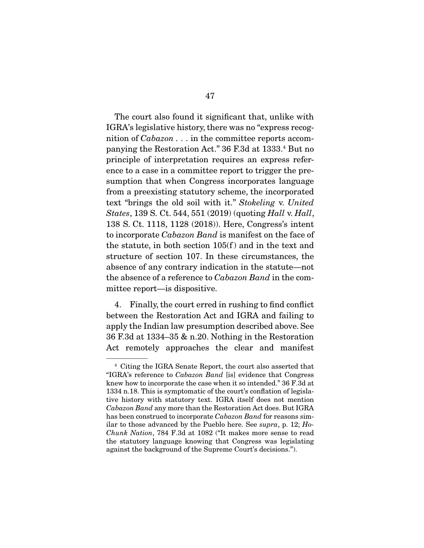The court also found it significant that, unlike with IGRA's legislative history, there was no "express recognition of *Cabazon* . . . in the committee reports accom-<br>nonving the Besteration Act " 36 F 3d et 1333 4 But no panying the restoration Act. 30 F.3d at 1333. But no<br>principle of interpretation requires an express refer ence to a case in a committee report to trigger the presumption that when Congress incorporates language from a preexisting statutory scheme, the incorporated from a present of the incorporate text "brings the old soil with it." *Stokeling* v. *United* States 139.8, Ct. 544, 551 (2019) (quoting Hall v. Hall *States*, 139 S. Ct. 544, 551 (2019) (quoting *Hall* v. *Hall*, to incorporate *Cabazon Band* is manifest on the face of the statute, in both section  $105(f)$  and in the text and structure of section 107. In these circumstances, the absence of any contrary indication in the statute—not the absence of a reference to *Cabazon Band* in the com-<br>mittee report—is dispositive mittee report—is dispositive.

4. Finally, the court erred in rushing to find conflict between the Restoration Act and IGRA and failing to apply the Indian law presumption described above. See 36 F.3d at 1334–35 & n.20. Nothing in the Restoration  $\Delta ct$  remately approaches the clear and manifest  $\frac{1}{\sqrt{2}}$ 

<sup>4</sup> Citing the IGRA Senate Report, the court also asserted that "IGRA's reference to *Cabazon Band* [is] evidence that Congress knew how to incorporate the case when it so intended." 36 F.3d at 1334 n.18. This is symptomatic of the court's conflation of legislative history with statutory text. IGRA itself does not mention *Cabazon Band* any more than the Restoration Act does. But IGRA has been construed to incorporate *Cabazon Band* for reasons simhas been construed to incorporate *Cabazon Band* for reasons similar to those advanced by the Pueblo here. See *supra*, p. 12; *Ho-Chunk Nation*, 784 F.3d at 1082 ("It makes more sense to read against the background of the Supreme Court's decisions."). against the background of the Supreme Court's decisions.").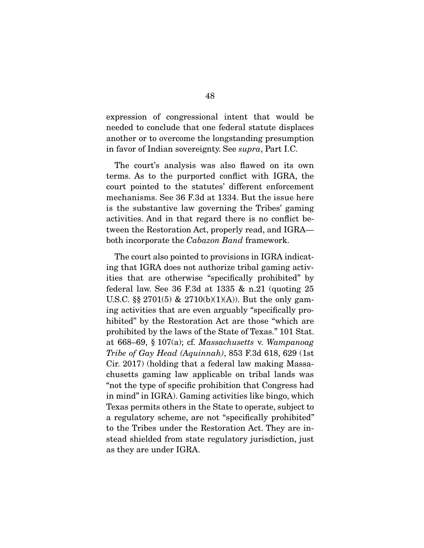expression of congressional intent that would be needed to conclude that one federal statute displaces another or to overcome the longstanding presumption another or to overcome the longstanding presumption in favor of Indian sovereignty. See *supra*, Part I.C.

The court's analysis was also flawed on its own terms. As to the purported conflict with IGRA, the court pointed to the statutes' different enforcement mechanisms. See 36 F.3d at 1334. But the issue here is the substantive law governing the Tribes' gaming activities. And in that regard there is no conflict between the Restoration Act, properly read, and IGRA tween the Restoration Act, properly read, and IGRA— both incorporate the *Cabazon Band* framework.

The court also pointed to provisions in IGRA indicating that IGRA does not authorize tribal gaming activities that are otherwise "specifically prohibited" by federal law. See 36 F.3d at 1335  $\&$  n.21 (quoting 25 U.S.C. §§ 2701(5) & 2710(b)(1)(A)). But the only gaming activities that are even arguably "specifically prohibited" by the Restoration Act are those "which are prohibited by the laws of the State of Texas." 101 Stat. probabited by the State of Gay Had (Aquinnab) 853 F 3d 618, 699 (1st<br>Tribe of Gay Had (Aquinnab) 853 F 3d 618, 699 (1st) *Tribe of Gay Head (Aquinnah)*, 853 F.3d 618, 629 (1st chusetts gaming law applicable on tribal lands was "not the type of specific prohibition that Congress had in mind" in IGRA). Gaming activities like bingo, which Texas permits others in the State to operate, subject to a regulatory scheme, are not "specifically prohibited" to the Tribes under the Restoration Act. They are instead shielded from state regulatory jurisdiction, just as they are under IGRA.  $\sum_{i=1}^{n}$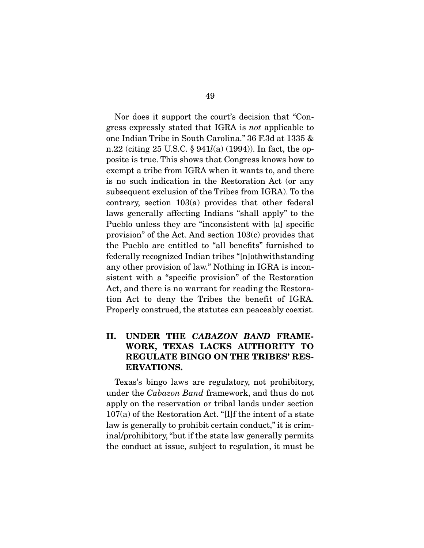gress expressly stated that IGRA is *not* applicable to<br>one Indian Tribe in South Coroline," 36 F 3d et 1335 & n.22 (citing 25 U.S.C.  $\S$  941*l*(a) (1994)). In fact, the op-<br>nesite is true. This shows that Congress knows how to posite is true. This shows that Congress knows how to is no such indication in the Restoration Act (or any subsequent exclusion of the Tribes from IGRA). To the contrary, section  $103(a)$  provides that other federal. laws generally affecting Indians "shall apply" to the Pueblo unless they are "inconsistent with [a] specific provision" of the Act. And section  $103(c)$  provides that the Pueblo are entitled to "all benefits" furnished to federally recognized Indian tribes "[n] oth with standing any other provision of law." Nothing in IGRA is inconsistent with a "specific provision" of the Restoration Act, and there is no warrant for reading the Restoration Act to deny the Tribes the benefit of IGRA. Properly construed, the statutes can peaceably coexist.  $\Gamma$  is the statute can existent coefficient coefficient coefficient coefficient coefficient coefficient coefficient coefficient coefficient coefficient coefficient coefficient coefficient coefficient coefficient coeffici

#### **II. UNDER THE** *CABAZON BAND* **FRAME-WORK, TEXAS LACKS AUTHORITY TO REGULATE BINGO ON THE TRIBES' RES-ERVATIONS.**

Interacting the *Cabazon Band* framework, and thus do not<br>apply on the recorrection or tribal lands under section apply on the reservation or tribal lands under section  $107(a)$  of the Restoration Act. "[I]f the intent of a state law is generally to prohibit certain conduct," it is criminal/prohibitory, "but if the state law generally permits the conduct at issue, subject to regulation, it must be  $t_{\text{max}}$  to reduct at issue, subject to regulation, it must be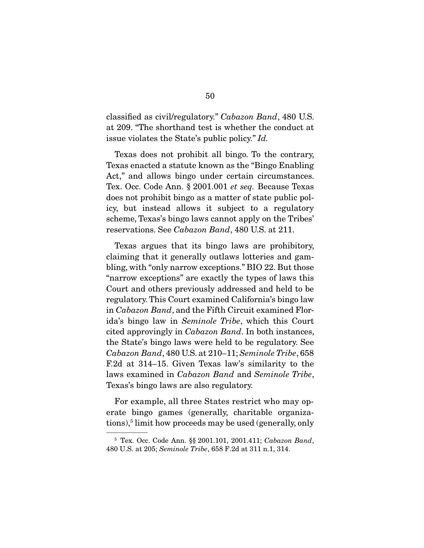classified as civil/regulatory." *Cabazon Band*, 480 U.S. issue violates the State's public policy." *Id.* 

Texas does not prohibit all bingo. To the contrary, Texas enacted a statute known as the "Bingo Enabling" Act," and allows bingo under certain circumstances. Tex. Occ. Code Ann. § 2001.001 *et seq.* Because Texas does not prohibit bingo as a matter of state public policy, but instead allows it subject to a regulatory scheme, Texas's bingo laws cannot apply on the Tribes' reservations. See *Cabazon Band*, 480 U.S. at 211.

Texas argues that its bingo laws are prohibitory, claiming that it generally outlaws lotteries and gambling, with "only narrow exceptions." BIO 22. But those "narrow exceptions" are exactly the types of laws this Court and others previously addressed and held to be regulatory. This Court examined California's bingo law in *Cabazon Band*, and the Fifth Circuit examined Florida's bingo law in *Seminole Tribe*, which this Court cited approvingly in *Cabazon Band*. In both instances, the State's bingo laws were held to be regulatory. See *Cabazon Band*, 480 U.S. at 210–11; *Seminole Tribe*, 658 laws examined in *Cabazon Band* and *Seminole Tribe*, Texas's bingo laws are also regulatory.

For example, all three States restrict who may operate bingo games (generally, charitable organizaerate bingo games (generally, charitable organiza- $\frac{1}{\sqrt{10}}$  $\overline{\phantom{a}}$ 

<sup>5</sup> Tex. Occ. Code Ann. §§ 2001.101, 2001.411; *Cabazon Band*, 480 U.S. at 205; *Seminole Tribe*, 658 F.2d at 311 n.1, 314.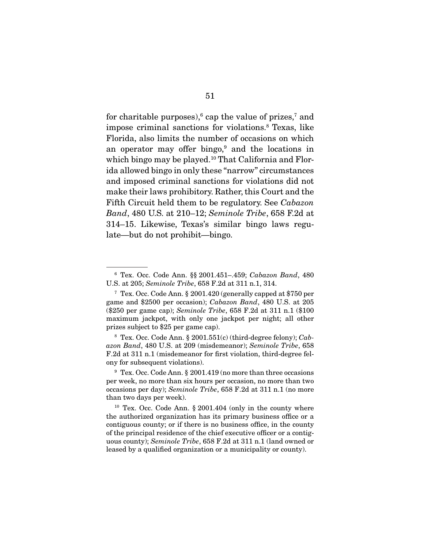for charitable purposes), cap the value of prizes, and<br>impose criminal sanctions for violations  $\frac{8}{3}$  Toxes, like mipose criminal sanctions for violations. Texas, like<br>Florida also limits the number of eccesions on which an operator may offer bingo, $9$  and the locations in an operator may offer bingo, and the locations in<br>which bingo may be played  $10$  That California and Flor ida allowed bingo in only these "narrow" circumstances and imposed criminal sanctions for violations did not make their laws prohibitory. Rather, this Court and the Fifth Circuit held them to be regulatory. See *Cabazon*<br>Rand 480 U.S. at 210, 12: Seminals Tribe, 658 E.2d at *Band*, 480 U.S. at 210–12; *Seminole Tribe*, 658 F.2d at  $\frac{1}{2}$  and  $\frac{1}{2}$  in  $\frac{1}{2}$  similar regular bingo late bingo late  $\frac{1}{2}$  bingo late  $\frac{1}{2}$  bingo late  $\frac{1}{2}$  bingo late  $\frac{1}{2}$  bingo late  $\frac{1}{2}$  bingo late  $\frac{1}{2}$  bingo late  $\frac{1}{2}$  bingo late late—but do not prohibit—bingo.

<sup>6</sup> Tex. Occ. Code Ann. §§ 2001.451–.459; *Cabazon Band*, 480 U.S. at 205; *Seminole Tribe*, 658 F.2d at 311 n.1, 314.<br><sup>7</sup> Tex. Occ. Code Ann. § 2001.420 (generally capped at \$750 per

<sup>7</sup> Tex. Occ. Code Ann. § 2001.420 (generally capped at \$750 per game and \$2500 per occasion); *Cabazon Band*, 480 U.S. at 205 (\$250 per game cap); *Seminole Tribe*, 658 F.2d at 311 n.1 (\$100 prizes subject to \$25 per game cap).

<sup>&</sup>lt;sup>8</sup> Tex. Occ. Code Ann. § 2001.551(c) (third-degree felony); *Cab-*<br> *azon Band. 480* U.S. at 209 (misdemeanor): *Seminole Tribe*, 658 *azon Band*, 480 U.S. at 209 (misdemeanor); *Seminole Tribe*, 658 ony for subsequent violations).

 $9$  Tex. Occ. Code Ann. § 2001.419 (no more than three occasions) per week, no more than six hours per occasion, no more than two per week, no more than six hours per occasions per day); *Seminole Tribe*, 658 F.2d at 311 n.1 (no more than two days per week) than two days per week).<br><sup>10</sup> Tex. Occ. Code Ann. § 2001.404 (only in the county where

the authorized organization has its primary business office or a contiguous county; or if there is no business office, in the county of the principal residence of the chief executive officer or a contigprinciple residence of the chief executive of the chiefs<br>uous county); *Seminole Tribe*, 658 F.2d at 311 n.1 (land owned or<br>leased by a qualified organization or a municipality or county) leased by a qualified organization or a municipality or county).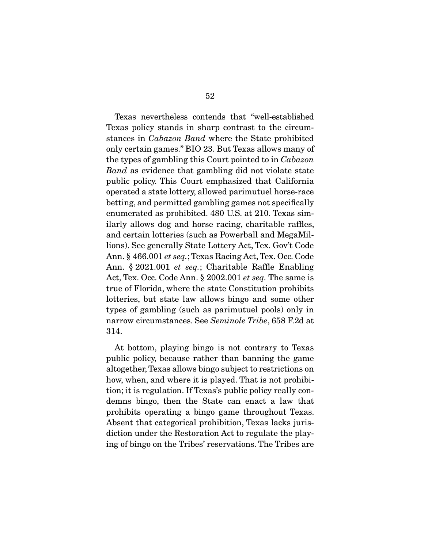Texas nevertheless contends that "well-established stances in *Cabazon Band* where the State prohibited<br>only extern games." BIO 22 But Toyes allows many of the types of gambling this Court pointed to in *Cabazon*<br>Band as evidence that gambling did not violate state. *Band* as evidence that gambling did not violate state public policy. This Court emphasized that California police policial a state lottery, allowed parimutuel horse-race betting, and permitted gambling games not specifically enumerated as prohibited. 480 U.S. at 210. Texas similarly allows dog and horse racing, charitable raffles, and certain lotteries (such as Powerball and MegaMillions). See generally State Lottery Act, Tex. Gov't Code Ann. § 466.001 *et seq.*; Texas Racing Act, Tex. Occ. Code Ann. § 2021.001 *et seq.*; Charitable Raffle Enabling Act, Tex. Occ. Code Ann. § 2002.001 *et seq.* The same is tote the state constant in the state law allows bingo and some other types of gambling (such as parimutuel pools) only in narrow circumstances. See *Seminole Tribe*, 658 F.2d at 314.

At bottom, playing bingo is not contrary to Texas public policy, because rather than banning the game altogether, Texas allows bingo subject to restrictions on how, when, and where it is played. That is not prohibition; it is regulation. If Texas's public policy really condemns bingo, then the State can enact a law that prohibits operating a bingo game throughout Texas. Absent that categorical prohibition, Texas lacks jurisdiction under the Restoration Act to regulate the play- $\frac{d}{dx}$  of bings on the Tribes' recorrections. The Tribes are  $\sigma$  on  $\sigma$  on the Tribes are the Tribes are served as  $\sigma$